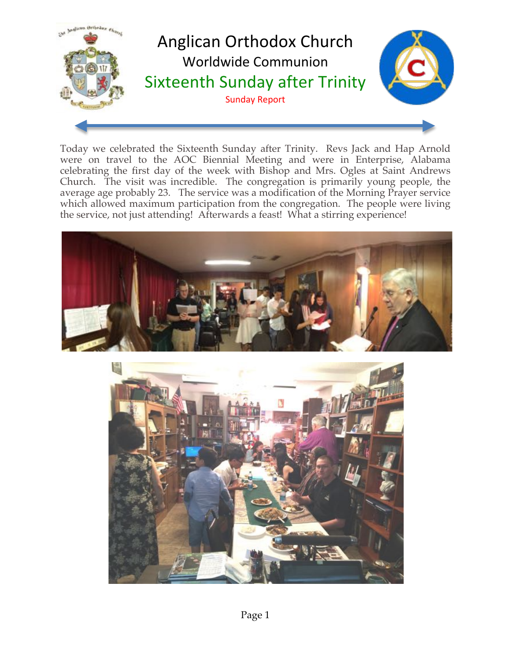

Today we celebrated the Sixteenth Sunday after Trinity. Revs Jack and Hap Arnold were on travel to the AOC Biennial Meeting and were in Enterprise, Alabama celebrating the first day of the week with Bishop and Mrs. Ogles at Saint Andrews Church. The visit was incredible. The congregation is primarily young people, the average age probably 23. The service was a modification of the Morning Prayer service which allowed maximum participation from the congregation. The people were living the service, not just attending! Afterwards a feast! What a stirring experience!



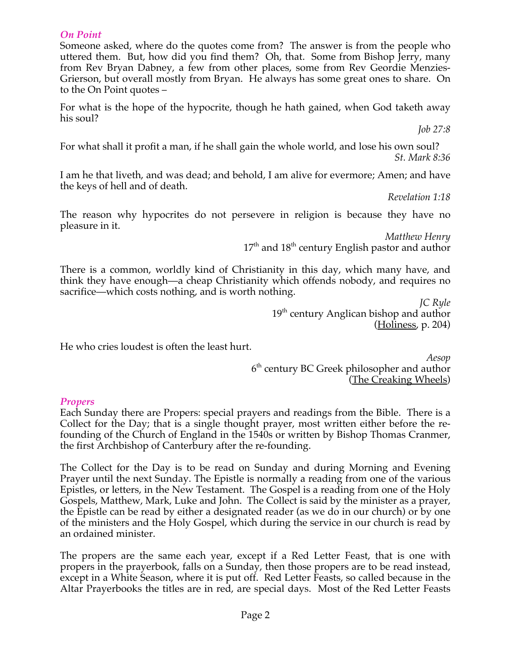### *On Point*

Someone asked, where do the quotes come from? The answer is from the people who uttered them. But, how did you find them? Oh, that. Some from Bishop Jerry, many from Rev Bryan Dabney, a few from other places, some from Rev Geordie Menzies-Grierson, but overall mostly from Bryan. He always has some great ones to share. On to the On Point quotes –

For what is the hope of the hypocrite, though he hath gained, when God taketh away his soul?

*Job 27:8*

For what shall it profit a man, if he shall gain the whole world, and lose his own soul? *St. Mark 8:36*

I am he that liveth, and was dead; and behold, I am alive for evermore; Amen; and have the keys of hell and of death.

*Revelation 1:18*

The reason why hypocrites do not persevere in religion is because they have no pleasure in it.

> *Matthew Henry*  $17<sup>th</sup>$  and  $18<sup>th</sup>$  century English pastor and author

There is a common, worldly kind of Christianity in this day, which many have, and think they have enough—a cheap Christianity which offends nobody, and requires no sacrifice—which costs nothing, and is worth nothing.

> *JC Ryle*  19<sup>th</sup> century Anglican bishop and author (Holiness, p. 204)

He who cries loudest is often the least hurt.

*Aesop* 6<sup>th</sup> century BC Greek philosopher and author (The Creaking Wheels)

### *Propers*

Each Sunday there are Propers: special prayers and readings from the Bible. There is a Collect for the Day; that is a single thought prayer, most written either before the refounding of the Church of England in the 1540s or written by Bishop Thomas Cranmer, the first Archbishop of Canterbury after the re-founding.

The Collect for the Day is to be read on Sunday and during Morning and Evening Prayer until the next Sunday. The Epistle is normally a reading from one of the various Epistles, or letters, in the New Testament. The Gospel is a reading from one of the Holy Gospels, Matthew, Mark, Luke and John. The Collect is said by the minister as a prayer, the Epistle can be read by either a designated reader (as we do in our church) or by one of the ministers and the Holy Gospel, which during the service in our church is read by an ordained minister.

The propers are the same each year, except if a Red Letter Feast, that is one with propers in the prayerbook, falls on a Sunday, then those propers are to be read instead, except in a White Season, where it is put off. Red Letter Feasts, so called because in the Altar Prayerbooks the titles are in red, are special days. Most of the Red Letter Feasts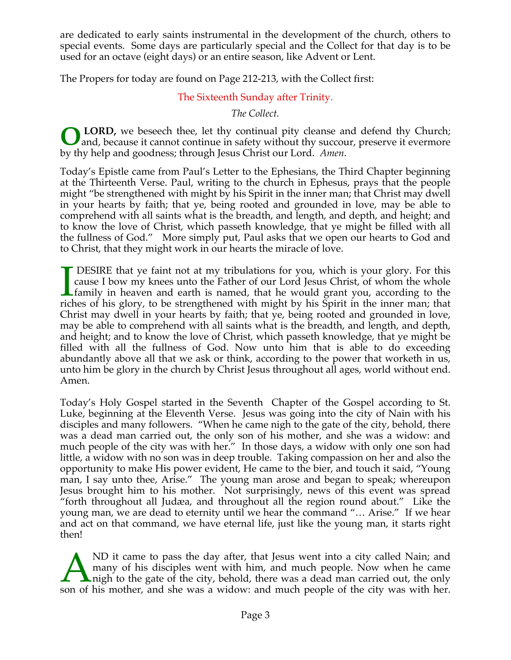are dedicated to early saints instrumental in the development of the church, others to special events. Some days are particularly special and the Collect for that day is to be used for an octave (eight days) or an entire season, like Advent or Lent.

The Propers for today are found on Page 212-213, with the Collect first:

## The Sixteenth Sunday after Trinity.

*The Collect.*

**LORD,** we beseech thee, let thy continual pity cleanse and defend thy Church; **O** LORD, we beseech thee, let thy continual pity cleanse and defend thy Church;<br>and, because it cannot continue in safety without thy succour, preserve it evermore by thy help and goodness; through Jesus Christ our Lord. *Amen*.

Today's Epistle came from Paul's Letter to the Ephesians, the Third Chapter beginning at the Thirteenth Verse. Paul, writing to the church in Ephesus, prays that the people might "be strengthened with might by his Spirit in the inner man; that Christ may dwell in your hearts by faith; that ye, being rooted and grounded in love, may be able to comprehend with all saints what is the breadth, and length, and depth, and height; and to know the love of Christ, which passeth knowledge, that ye might be filled with all the fullness of God." More simply put, Paul asks that we open our hearts to God and to Christ, that they might work in our hearts the miracle of love.

 DESIRE that ye faint not at my tribulations for you, which is your glory. For this cause I bow my knees unto the Father of our Lord Jesus Christ, of whom the whole family in heaven and earth is named, that he would grant you, according to the riches of his glory, to be strengthened with might by his Spirit in the inner man; that Christ may dwell in your hearts by faith; that ye, being rooted and grounded in love, may be able to comprehend with all saints what is the breadth, and length, and depth, and height; and to know the love of Christ, which passeth knowledge, that ye might be filled with all the fullness of God. Now unto him that is able to do exceeding abundantly above all that we ask or think, according to the power that worketh in us, unto him be glory in the church by Christ Jesus throughout all ages, world without end. Amen.  $\prod_{\text{rich}}$ 

Today's Holy Gospel started in the Seventh Chapter of the Gospel according to St. Luke, beginning at the Eleventh Verse. Jesus was going into the city of Nain with his disciples and many followers. "When he came nigh to the gate of the city, behold, there was a dead man carried out, the only son of his mother, and she was a widow: and much people of the city was with her." In those days, a widow with only one son had little, a widow with no son was in deep trouble. Taking compassion on her and also the opportunity to make His power evident, He came to the bier, and touch it said, "Young man, I say unto thee, Arise." The young man arose and began to speak; whereupon Jesus brought him to his mother. Not surprisingly, news of this event was spread "forth throughout all Judæa, and throughout all the region round about." Like the young man, we are dead to eternity until we hear the command "… Arise." If we hear and act on that command, we have eternal life, just like the young man, it starts right then!

ND it came to pass the day after, that Jesus went into a city called Nain; and many of his disciples went with him, and much people. Now when he came **L** nigh to the gate of the city, behold, there was a dead man carried out, the only ND it came to pass the day after, that Jesus went into a city called Nain; and many of his disciples went with him, and much people. Now when he came noise in the gate of the city, behold, there was a dead man carried out,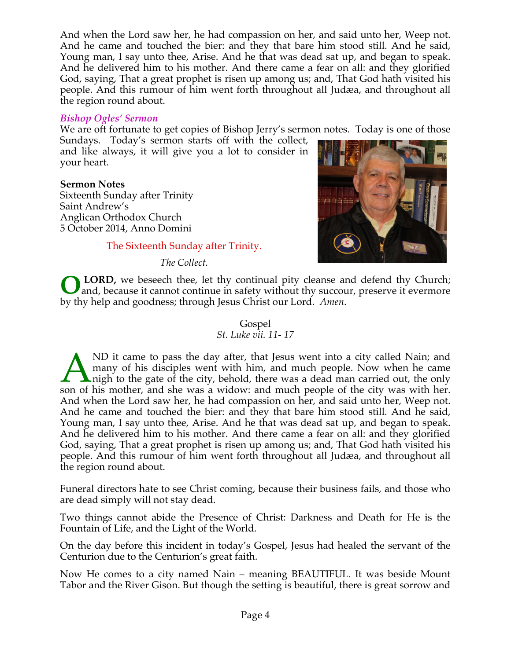And when the Lord saw her, he had compassion on her, and said unto her, Weep not. And he came and touched the bier: and they that bare him stood still. And he said, Young man, I say unto thee, Arise. And he that was dead sat up, and began to speak. And he delivered him to his mother. And there came a fear on all: and they glorified God, saying, That a great prophet is risen up among us; and, That God hath visited his people. And this rumour of him went forth throughout all Judæa, and throughout all the region round about.

### *Bishop Ogles' Sermon*

We are oft fortunate to get copies of Bishop Jerry's sermon notes. Today is one of those

Sundays. Today's sermon starts off with the collect, and like always, it will give you a lot to consider in your heart.

### **Sermon Notes**

Sixteenth Sunday after Trinity Saint Andrew's Anglican Orthodox Church 5 October 2014, Anno Domini

### The Sixteenth Sunday after Trinity.

*The Collect.*



**LORD,** we beseech thee, let thy continual pity cleanse and defend thy Church; and, because it cannot continue in safety without thy succour, preserve it evermore by thy help and goodness; through Jesus Christ our Lord. *Amen*. **O**

## Gospel

### *St. Luke vii. 11- 17*

ND it came to pass the day after, that Jesus went into a city called Nain; and many of his disciples went with him, and much people. Now when he came nigh to the gate of the city, behold, there was a dead man carried out, the only ND it came to pass the day after, that Jesus went into a city called Nain; and many of his disciples went with him, and much people. Now when he came noise in the gate of the city, behold, there was a dead man carried out, And when the Lord saw her, he had compassion on her, and said unto her, Weep not. And he came and touched the bier: and they that bare him stood still. And he said, Young man, I say unto thee, Arise. And he that was dead sat up, and began to speak. And he delivered him to his mother. And there came a fear on all: and they glorified God, saying, That a great prophet is risen up among us; and, That God hath visited his people. And this rumour of him went forth throughout all Judæa, and throughout all the region round about.

Funeral directors hate to see Christ coming, because their business fails, and those who are dead simply will not stay dead.

Two things cannot abide the Presence of Christ: Darkness and Death for He is the Fountain of Life, and the Light of the World.

On the day before this incident in today's Gospel, Jesus had healed the servant of the Centurion due to the Centurion's great faith.

Now He comes to a city named Nain – meaning BEAUTIFUL. It was beside Mount Tabor and the River Gison. But though the setting is beautiful, there is great sorrow and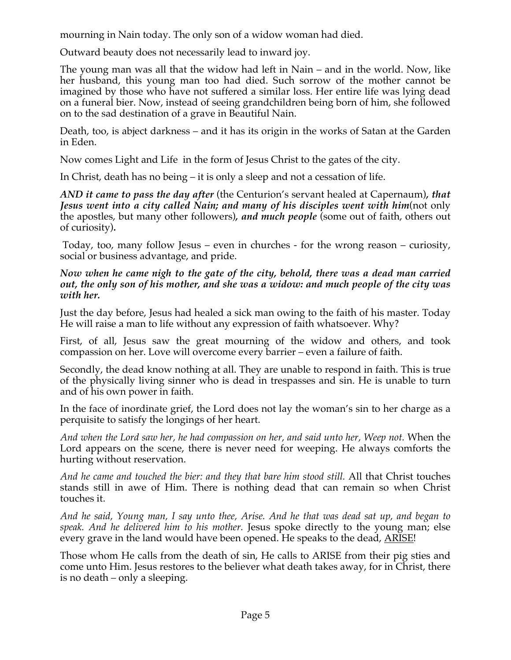mourning in Nain today. The only son of a widow woman had died.

Outward beauty does not necessarily lead to inward joy.

The young man was all that the widow had left in Nain – and in the world. Now, like her husband, this young man too had died. Such sorrow of the mother cannot be imagined by those who have not suffered a similar loss. Her entire life was lying dead on a funeral bier. Now, instead of seeing grandchildren being born of him, she followed on to the sad destination of a grave in Beautiful Nain.

Death, too, is abject darkness – and it has its origin in the works of Satan at the Garden in Eden.

Now comes Light and Life in the form of Jesus Christ to the gates of the city.

In Christ, death has no being – it is only a sleep and not a cessation of life.

*AND it came to pass the day after* (the Centurion's servant healed at Capernaum)*, that Jesus went into a city called Nain; and many of his disciples went with him*(not only the apostles, but many other followers)*, and much people* (some out of faith, others out of curiosity)*.*

Today, too, many follow Jesus – even in churches - for the wrong reason – curiosity, social or business advantage, and pride.

*Now when he came nigh to the gate of the city, behold, there was a dead man carried out, the only son of his mother, and she was a widow: and much people of the city was with her.*

Just the day before, Jesus had healed a sick man owing to the faith of his master. Today He will raise a man to life without any expression of faith whatsoever. Why?

First, of all, Jesus saw the great mourning of the widow and others, and took compassion on her. Love will overcome every barrier – even a failure of faith.

Secondly, the dead know nothing at all. They are unable to respond in faith. This is true of the physically living sinner who is dead in trespasses and sin. He is unable to turn and of his own power in faith.

In the face of inordinate grief, the Lord does not lay the woman's sin to her charge as a perquisite to satisfy the longings of her heart.

*And when the Lord saw her, he had compassion on her, and said unto her, Weep not.* When the Lord appears on the scene, there is never need for weeping. He always comforts the hurting without reservation.

*And he came and touched the bier: and they that bare him stood still.* All that Christ touches stands still in awe of Him. There is nothing dead that can remain so when Christ touches it.

*And he said, Young man, I say unto thee, Arise. And he that was dead sat up, and began to speak. And he delivered him to his mother.* Jesus spoke directly to the young man; else every grave in the land would have been opened. He speaks to the dead, ARISE!

Those whom He calls from the death of sin, He calls to ARISE from their pig sties and come unto Him. Jesus restores to the believer what death takes away, for in Christ, there is no death – only a sleeping.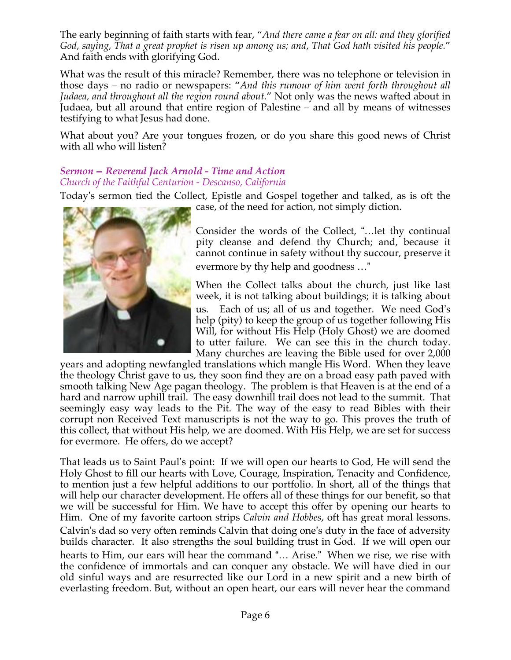The early beginning of faith starts with fear, "*And there came a fear on all: and they glorified God, saying, That a great prophet is risen up among us; and, That God hath visited his people.*" And faith ends with glorifying God.

What was the result of this miracle? Remember, there was no telephone or television in those days – no radio or newspapers: "*And this rumour of him went forth throughout all Judaea, and throughout all the region round about.*" Not only was the news wafted about in Judaea, but all around that entire region of Palestine – and all by means of witnesses testifying to what Jesus had done.

What about you? Are your tongues frozen, or do you share this good news of Christ with all who will listen?

### *Sermon* -*Reverend Jack Arnold - Time and Action Church of the Faithful Centurion - Descanso, California*

Today's sermon tied the Collect, Epistle and Gospel together and talked, as is oft the



case, of the need for action, not simply diction.

Consider the words of the Collect, "...let thy continual pity cleanse and defend thy Church; and, because it cannot continue in safety without thy succour, preserve it evermore by thy help and goodness ..."

When the Collect talks about the church, just like last week, it is not talking about buildings; it is talking about us. Each of us; all of us and together. We need God's help (pity) to keep the group of us together following His Will, for without His Help (Holy Ghost) we are doomed to utter failure. We can see this in the church today. Many churches are leaving the Bible used for over 2,000

years and adopting newfangled translations which mangle His Word. When they leave the theology Christ gave to us, they soon find they are on a broad easy path paved with smooth talking New Age pagan theology. The problem is that Heaven is at the end of a hard and narrow uphill trail. The easy downhill trail does not lead to the summit. That seemingly easy way leads to the Pit. The way of the easy to read Bibles with their corrupt non Received Text manuscripts is not the way to go. This proves the truth of this collect, that without His help, we are doomed. With His Help, we are set for success for evermore. He offers, do we accept?

That leads us to Saint Paul's point: If we will open our hearts to God, He will send the Holy Ghost to fill our hearts with Love, Courage, Inspiration, Tenacity and Confidence, to mention just a few helpful additions to our portfolio. In short, all of the things that will help our character development. He offers all of these things for our benefit, so that we will be successful for Him. We have to accept this offer by opening our hearts to Him. One of my favorite cartoon strips *Calvin and Hobbes*, oft has great moral lessons. Calvin's dad so very often reminds Calvin that doing one's duty in the face of adversity builds character. It also strengths the soul building trust in God. If we will open our hearts to Him, our ears will hear the command "... Arise." When we rise, we rise with the confidence of immortals and can conquer any obstacle. We will have died in our old sinful ways and are resurrected like our Lord in a new spirit and a new birth of everlasting freedom. But, without an open heart, our ears will never hear the command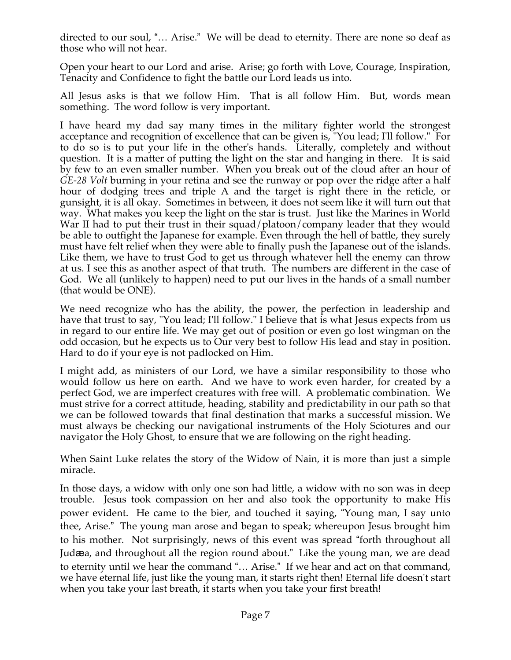directed to our soul, "... Arise." We will be dead to eternity. There are none so deaf as those who will not hear.

Open your heart to our Lord and arise. Arise; go forth with Love, Courage, Inspiration, Tenacity and Confidence to fight the battle our Lord leads us into.

All Jesus asks is that we follow Him. That is all follow Him. But, words mean something. The word follow is very important.

I have heard my dad say many times in the military fighter world the strongest acceptance and recognition of excellence that can be given is, "You lead; I'll follow." For to do so is to put your life in the other's hands. Literally, completely and without question. It is a matter of putting the light on the star and hanging in there. It is said by few to an even smaller number. When you break out of the cloud after an hour of *GE-28 Volt* burning in your retina and see the runway or pop over the ridge after a half hour of dodging trees and triple A and the target is right there in the reticle, or gunsight, it is all okay. Sometimes in between, it does not seem like it will turn out that way. What makes you keep the light on the star is trust. Just like the Marines in World War II had to put their trust in their squad/platoon/company leader that they would be able to outfight the Japanese for example. Even through the hell of battle, they surely must have felt relief when they were able to finally push the Japanese out of the islands. Like them, we have to trust God to get us through whatever hell the enemy can throw at us. I see this as another aspect of that truth. The numbers are different in the case of God. We all (unlikely to happen) need to put our lives in the hands of a small number (that would be ONE).

We need recognize who has the ability, the power, the perfection in leadership and have that trust to say, "You lead; I'll follow." I believe that is what Jesus expects from us in regard to our entire life. We may get out of position or even go lost wingman on the odd occasion, but he expects us to Our very best to follow His lead and stay in position. Hard to do if your eye is not padlocked on Him.

I might add, as ministers of our Lord, we have a similar responsibility to those who would follow us here on earth. And we have to work even harder, for created by a perfect God, we are imperfect creatures with free will. A problematic combination. We must strive for a correct attitude, heading, stability and predictability in our path so that we can be followed towards that final destination that marks a successful mission. We must always be checking our navigational instruments of the Holy Sciotures and our navigator the Holy Ghost, to ensure that we are following on the right heading.

When Saint Luke relates the story of the Widow of Nain, it is more than just a simple miracle.

In those days, a widow with only one son had little, a widow with no son was in deep trouble. Jesus took compassion on her and also took the opportunity to make His power evident. He came to the bier, and touched it saying, Young man, I say unto thee, Arise." The young man arose and began to speak; whereupon Jesus brought him to his mother. Not surprisingly, news of this event was spread "forth throughout all Judæa, and throughout all the region round about." Like the young man, we are dead to eternity until we hear the command "... Arise." If we hear and act on that command, we have eternal life, just like the young man, it starts right then! Eternal life doesn't start when you take your last breath, it starts when you take your first breath!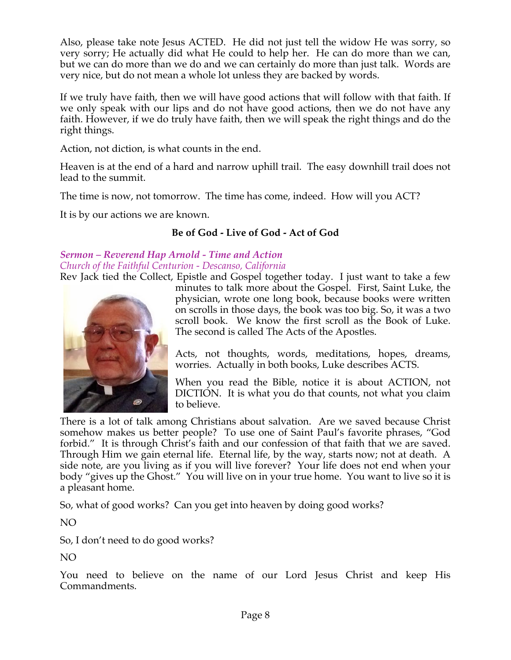Also, please take note Jesus ACTED. He did not just tell the widow He was sorry, so very sorry; He actually did what He could to help her. He can do more than we can, but we can do more than we do and we can certainly do more than just talk. Words are very nice, but do not mean a whole lot unless they are backed by words.

If we truly have faith, then we will have good actions that will follow with that faith. If we only speak with our lips and do not have good actions, then we do not have any faith. However, if we do truly have faith, then we will speak the right things and do the right things.

Action, not diction, is what counts in the end.

Heaven is at the end of a hard and narrow uphill trail. The easy downhill trail does not lead to the summit.

The time is now, not tomorrow. The time has come, indeed. How will you ACT?

It is by our actions we are known.

## **Be of God - Live of God - Act of God**

# *Sermon – Reverend Hap Arnold - Time and Action Church of the Faithful Centurion - Descanso, California*

Rev Jack tied the Collect, Epistle and Gospel together today. I just want to take a few



minutes to talk more about the Gospel. First, Saint Luke, the physician, wrote one long book, because books were written on scrolls in those days, the book was too big. So, it was a two scroll book. We know the first scroll as the Book of Luke. The second is called The Acts of the Apostles.

Acts, not thoughts, words, meditations, hopes, dreams, worries. Actually in both books, Luke describes ACTS.

When you read the Bible, notice it is about ACTION, not DICTION. It is what you do that counts, not what you claim to believe.

There is a lot of talk among Christians about salvation. Are we saved because Christ somehow makes us better people? To use one of Saint Paul's favorite phrases, "God forbid." It is through Christ's faith and our confession of that faith that we are saved. Through Him we gain eternal life. Eternal life, by the way, starts now; not at death. A side note, are you living as if you will live forever? Your life does not end when your body "gives up the Ghost." You will live on in your true home. You want to live so it is a pleasant home.

So, what of good works? Can you get into heaven by doing good works?

NO

So, I don't need to do good works?

NO

You need to believe on the name of our Lord Jesus Christ and keep His Commandments.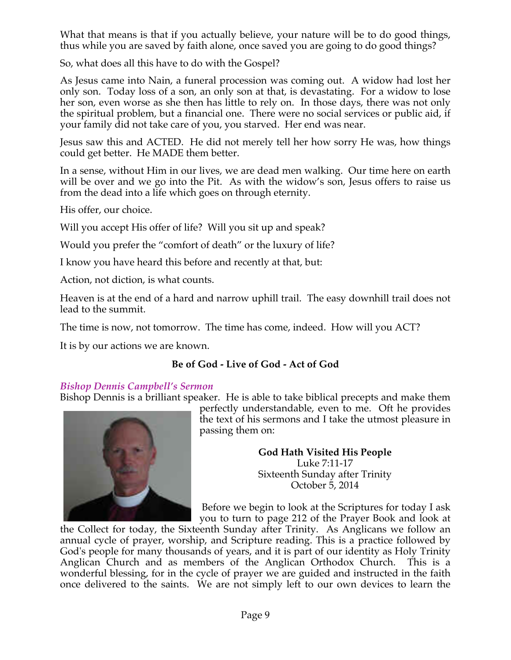What that means is that if you actually believe, your nature will be to do good things, thus while you are saved by faith alone, once saved you are going to do good things?

So, what does all this have to do with the Gospel?

As Jesus came into Nain, a funeral procession was coming out. A widow had lost her only son. Today loss of a son, an only son at that, is devastating. For a widow to lose her son, even worse as she then has little to rely on. In those days, there was not only the spiritual problem, but a financial one. There were no social services or public aid, if your family did not take care of you, you starved. Her end was near.

Jesus saw this and ACTED. He did not merely tell her how sorry He was, how things could get better. He MADE them better.

In a sense, without Him in our lives, we are dead men walking. Our time here on earth will be over and we go into the Pit. As with the widow's son, Jesus offers to raise us from the dead into a life which goes on through eternity.

His offer, our choice.

Will you accept His offer of life? Will you sit up and speak?

Would you prefer the "comfort of death" or the luxury of life?

I know you have heard this before and recently at that, but:

Action, not diction, is what counts.

Heaven is at the end of a hard and narrow uphill trail. The easy downhill trail does not lead to the summit.

The time is now, not tomorrow. The time has come, indeed. How will you ACT?

It is by our actions we are known.

## **Be of God - Live of God - Act of God**

### *Bishop Dennis Campbell's Sermon*

Bishop Dennis is a brilliant speaker. He is able to take biblical precepts and make them



perfectly understandable, even to me. Oft he provides the text of his sermons and I take the utmost pleasure in passing them on:

> **God Hath Visited His People** Luke 7:11-17 Sixteenth Sunday after Trinity October 5, 2014

Before we begin to look at the Scriptures for today I ask you to turn to page 212 of the Prayer Book and look at

the Collect for today, the Sixteenth Sunday after Trinity. As Anglicans we follow an annual cycle of prayer, worship, and Scripture reading. This is a practice followed by God's people for many thousands of years, and it is part of our identity as Holy Trinity Anglican Church and as members of the Anglican Orthodox Church. This is a wonderful blessing, for in the cycle of prayer we are guided and instructed in the faith once delivered to the saints. We are not simply left to our own devices to learn the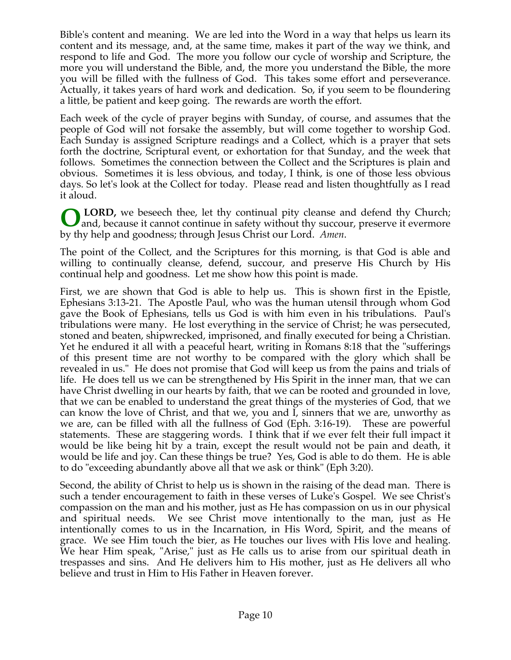Bible's content and meaning. We are led into the Word in a way that helps us learn its content and its message, and, at the same time, makes it part of the way we think, and respond to life and God. The more you follow our cycle of worship and Scripture, the more you will understand the Bible, and, the more you understand the Bible, the more you will be filled with the fullness of God. This takes some effort and perseverance. Actually, it takes years of hard work and dedication. So, if you seem to be floundering a little, be patient and keep going. The rewards are worth the effort.

Each week of the cycle of prayer begins with Sunday, of course, and assumes that the people of God will not forsake the assembly, but will come together to worship God. Each Sunday is assigned Scripture readings and a Collect, which is a prayer that sets forth the doctrine, Scriptural event, or exhortation for that Sunday, and the week that follows. Sometimes the connection between the Collect and the Scriptures is plain and obvious. Sometimes it is less obvious, and today, I think, is one of those less obvious days. So let's look at the Collect for today. Please read and listen thoughtfully as I read it aloud.

 **LORD,** we beseech thee, let thy continual pity cleanse and defend thy Church; and, because it cannot continue in safety without thy succour, preserve it evermore by thy help and goodness; through Jesus Christ our Lord. *Amen*. **O**

The point of the Collect, and the Scriptures for this morning, is that God is able and willing to continually cleanse, defend, succour, and preserve His Church by His continual help and goodness. Let me show how this point is made.

First, we are shown that God is able to help us. This is shown first in the Epistle, Ephesians 3:13-21. The Apostle Paul, who was the human utensil through whom God gave the Book of Ephesians, tells us God is with him even in his tribulations. Paul's tribulations were many. He lost everything in the service of Christ; he was persecuted, stoned and beaten, shipwrecked, imprisoned, and finally executed for being a Christian. Yet he endured it all with a peaceful heart, writing in Romans 8:18 that the "sufferings of this present time are not worthy to be compared with the glory which shall be revealed in us." He does not promise that God will keep us from the pains and trials of life. He does tell us we can be strengthened by His Spirit in the inner man, that we can have Christ dwelling in our hearts by faith, that we can be rooted and grounded in love, that we can be enabled to understand the great things of the mysteries of God, that we can know the love of Christ, and that we, you and I, sinners that we are, unworthy as we are, can be filled with all the fullness of God (Eph. 3:16-19). These are powerful statements. These are staggering words. I think that if we ever felt their full impact it would be like being hit by a train, except the result would not be pain and death, it would be life and joy. Can these things be true? Yes, God is able to do them. He is able to do "exceeding abundantly above all that we ask or think" (Eph 3:20).

Second, the ability of Christ to help us is shown in the raising of the dead man. There is such a tender encouragement to faith in these verses of Luke's Gospel. We see Christ's compassion on the man and his mother, just as He has compassion on us in our physical and spiritual needs. We see Christ move intentionally to the man, just as He intentionally comes to us in the Incarnation, in His Word, Spirit, and the means of grace. We see Him touch the bier, as He touches our lives with His love and healing. We hear Him speak, "Arise," just as He calls us to arise from our spiritual death in trespasses and sins. And He delivers him to His mother, just as He delivers all who believe and trust in Him to His Father in Heaven forever.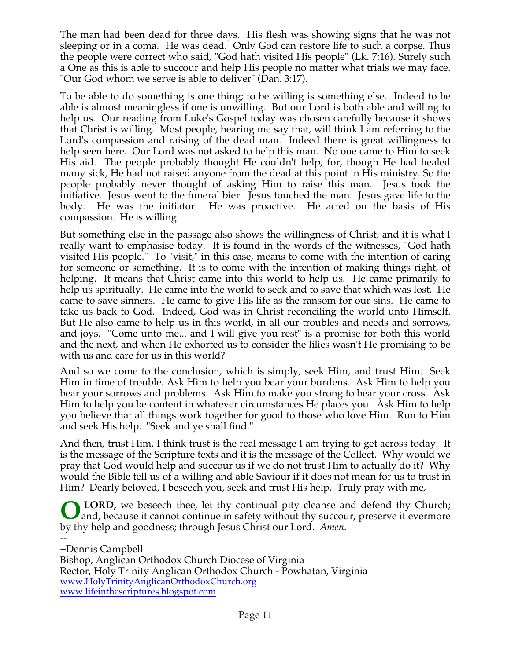The man had been dead for three days. His flesh was showing signs that he was not sleeping or in a coma. He was dead. Only God can restore life to such a corpse. Thus the people were correct who said, "God hath visited His people" (Lk. 7:16). Surely such a One as this is able to succour and help His people no matter what trials we may face. "Our God whom we serve is able to deliver" (Dan. 3:17).

To be able to do something is one thing; to be willing is something else. Indeed to be able is almost meaningless if one is unwilling. But our Lord is both able and willing to help us. Our reading from Luke's Gospel today was chosen carefully because it shows that Christ is willing. Most people, hearing me say that, will think I am referring to the Lord's compassion and raising of the dead man. Indeed there is great willingness to help seen here. Our Lord was not asked to help this man. No one came to Him to seek His aid. The people probably thought He couldn't help, for, though He had healed many sick, He had not raised anyone from the dead at this point in His ministry. So the people probably never thought of asking Him to raise this man. Jesus took the initiative. Jesus went to the funeral bier. Jesus touched the man. Jesus gave life to the body. He was the initiator. He was proactive. He acted on the basis of His compassion. He is willing.

But something else in the passage also shows the willingness of Christ, and it is what I really want to emphasise today. It is found in the words of the witnesses, "God hath visited His people." To "visit," in this case, means to come with the intention of caring for someone or something. It is to come with the intention of making things right, of helping. It means that Christ came into this world to help us. He came primarily to help us spiritually. He came into the world to seek and to save that which was lost. He came to save sinners. He came to give His life as the ransom for our sins. He came to take us back to God. Indeed, God was in Christ reconciling the world unto Himself. But He also came to help us in this world, in all our troubles and needs and sorrows, and joys. "Come unto me... and I will give you rest" is a promise for both this world and the next, and when He exhorted us to consider the lilies wasn't He promising to be with us and care for us in this world?

And so we come to the conclusion, which is simply, seek Him, and trust Him. Seek Him in time of trouble. Ask Him to help you bear your burdens. Ask Him to help you bear your sorrows and problems. Ask Him to make you strong to bear your cross. Ask Him to help you be content in whatever circumstances He places you. Ask Him to help you believe that all things work together for good to those who love Him. Run to Him and seek His help. "Seek and ye shall find."

And then, trust Him. I think trust is the real message I am trying to get across today. It is the message of the Scripture texts and it is the message of the Collect. Why would we pray that God would help and succour us if we do not trust Him to actually do it? Why would the Bible tell us of a willing and able Saviour if it does not mean for us to trust in Him? Dearly beloved, I beseech you, seek and trust His help. Truly pray with me,

**LORD,** we beseech thee, let thy continual pity cleanse and defend thy Church; and, because it cannot continue in safety without thy succour, preserve it evermore by thy help and goodness; through Jesus Christ our Lord. *Amen*. **O**

-- +Dennis Campbell Bishop, Anglican Orthodox Church Diocese of Virginia Rector, Holy Trinity Anglican Orthodox Church - Powhatan, Virginia www.HolyTrinityAnglicanOrthodoxChurch.org www.lifeinthescriptures.blogspot.com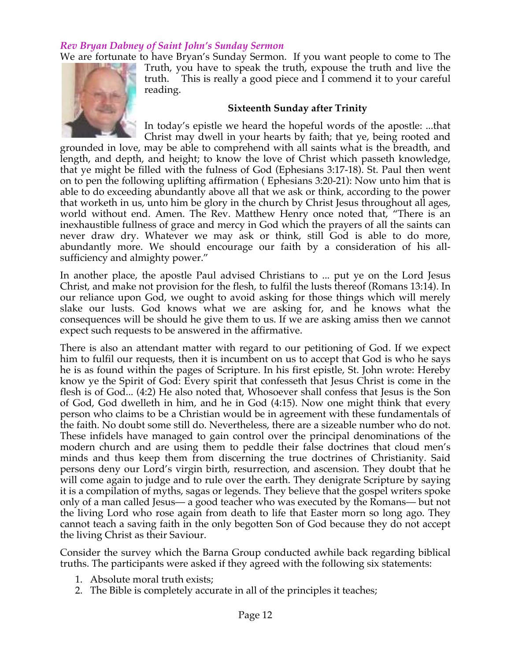### *Rev Bryan Dabney of Saint John's Sunday Sermon*

We are fortunate to have Bryan's Sunday Sermon. If you want people to come to The



Truth, you have to speak the truth, expouse the truth and live the truth. This is really a good piece and I commend it to your careful reading.

#### **Sixteenth Sunday after Trinity**

In today's epistle we heard the hopeful words of the apostle: ...that Christ may dwell in your hearts by faith; that ye, being rooted and

grounded in love, may be able to comprehend with all saints what is the breadth, and length, and depth, and height; to know the love of Christ which passeth knowledge, that ye might be filled with the fulness of God (Ephesians 3:17-18). St. Paul then went on to pen the following uplifting affirmation ( Ephesians 3:20-21): Now unto him that is able to do exceeding abundantly above all that we ask or think, according to the power that worketh in us, unto him be glory in the church by Christ Jesus throughout all ages, world without end. Amen. The Rev. Matthew Henry once noted that, "There is an inexhaustible fullness of grace and mercy in God which the prayers of all the saints can never draw dry. Whatever we may ask or think, still God is able to do more, abundantly more. We should encourage our faith by a consideration of his allsufficiency and almighty power."

In another place, the apostle Paul advised Christians to ... put ye on the Lord Jesus Christ, and make not provision for the flesh, to fulfil the lusts thereof (Romans 13:14). In our reliance upon God, we ought to avoid asking for those things which will merely slake our lusts. God knows what we are asking for, and he knows what the consequences will be should he give them to us. If we are asking amiss then we cannot expect such requests to be answered in the affirmative.

There is also an attendant matter with regard to our petitioning of God. If we expect him to fulfil our requests, then it is incumbent on us to accept that God is who he says he is as found within the pages of Scripture. In his first epistle, St. John wrote: Hereby know ye the Spirit of God: Every spirit that confesseth that Jesus Christ is come in the flesh is of God... (4:2) He also noted that, Whosoever shall confess that Jesus is the Son of God, God dwelleth in him, and he in God (4:15). Now one might think that every person who claims to be a Christian would be in agreement with these fundamentals of the faith. No doubt some still do. Nevertheless, there are a sizeable number who do not. These infidels have managed to gain control over the principal denominations of the modern church and are using them to peddle their false doctrines that cloud men's minds and thus keep them from discerning the true doctrines of Christianity. Said persons deny our Lord's virgin birth, resurrection, and ascension. They doubt that he will come again to judge and to rule over the earth. They denigrate Scripture by saying it is a compilation of myths, sagas or legends. They believe that the gospel writers spoke only of a man called Jesus— a good teacher who was executed by the Romans— but not the living Lord who rose again from death to life that Easter morn so long ago. They cannot teach a saving faith in the only begotten Son of God because they do not accept the living Christ as their Saviour.

Consider the survey which the Barna Group conducted awhile back regarding biblical truths. The participants were asked if they agreed with the following six statements:

- 1. Absolute moral truth exists;
- 2. The Bible is completely accurate in all of the principles it teaches;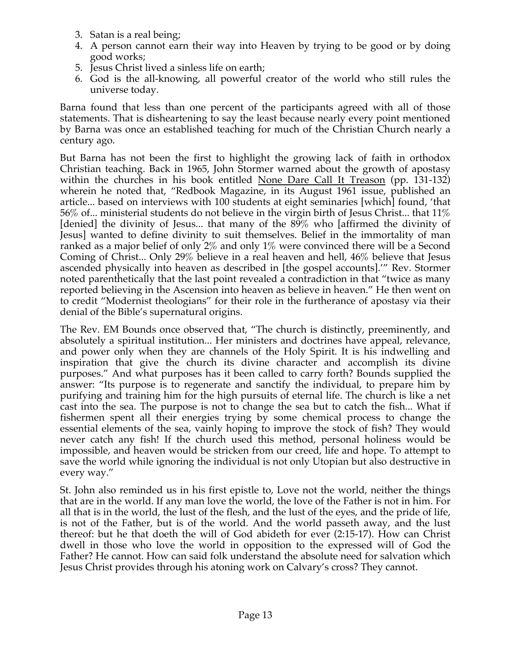- 3. Satan is a real being;
- 4. A person cannot earn their way into Heaven by trying to be good or by doing good works;
- 5. Jesus Christ lived a sinless life on earth;
- 6. God is the all-knowing, all powerful creator of the world who still rules the universe today.

Barna found that less than one percent of the participants agreed with all of those statements. That is disheartening to say the least because nearly every point mentioned by Barna was once an established teaching for much of the Christian Church nearly a century ago.

But Barna has not been the first to highlight the growing lack of faith in orthodox Christian teaching. Back in 1965, John Stormer warned about the growth of apostasy within the churches in his book entitled None Dare Call It Treason (pp. 131-132) wherein he noted that, "Redbook Magazine, in its August 1961 issue, published an article... based on interviews with 100 students at eight seminaries [which] found, 'that 56% of... ministerial students do not believe in the virgin birth of Jesus Christ... that 11% [denied] the divinity of Jesus... that many of the 89% who [affirmed the divinity of Jesus] wanted to define divinity to suit themselves. Belief in the immortality of man ranked as a major belief of only 2% and only 1% were convinced there will be a Second Coming of Christ... Only 29% believe in a real heaven and hell, 46% believe that Jesus ascended physically into heaven as described in [the gospel accounts].'" Rev. Stormer noted parenthetically that the last point revealed a contradiction in that "twice as many reported believing in the Ascension into heaven as believe in heaven." He then went on to credit "Modernist theologians" for their role in the furtherance of apostasy via their denial of the Bible's supernatural origins.

The Rev. EM Bounds once observed that, "The church is distinctly, preeminently, and absolutely a spiritual institution... Her ministers and doctrines have appeal, relevance, and power only when they are channels of the Holy Spirit. It is his indwelling and inspiration that give the church its divine character and accomplish its divine purposes." And what purposes has it been called to carry forth? Bounds supplied the answer: "Its purpose is to regenerate and sanctify the individual, to prepare him by purifying and training him for the high pursuits of eternal life. The church is like a net cast into the sea. The purpose is not to change the sea but to catch the fish... What if fishermen spent all their energies trying by some chemical process to change the essential elements of the sea, vainly hoping to improve the stock of fish? They would never catch any fish! If the church used this method, personal holiness would be impossible, and heaven would be stricken from our creed, life and hope. To attempt to save the world while ignoring the individual is not only Utopian but also destructive in every way."

St. John also reminded us in his first epistle to, Love not the world, neither the things that are in the world. If any man love the world, the love of the Father is not in him. For all that is in the world, the lust of the flesh, and the lust of the eyes, and the pride of life, is not of the Father, but is of the world. And the world passeth away, and the lust thereof: but he that doeth the will of God abideth for ever (2:15-17). How can Christ dwell in those who love the world in opposition to the expressed will of God the Father? He cannot. How can said folk understand the absolute need for salvation which Jesus Christ provides through his atoning work on Calvary's cross? They cannot.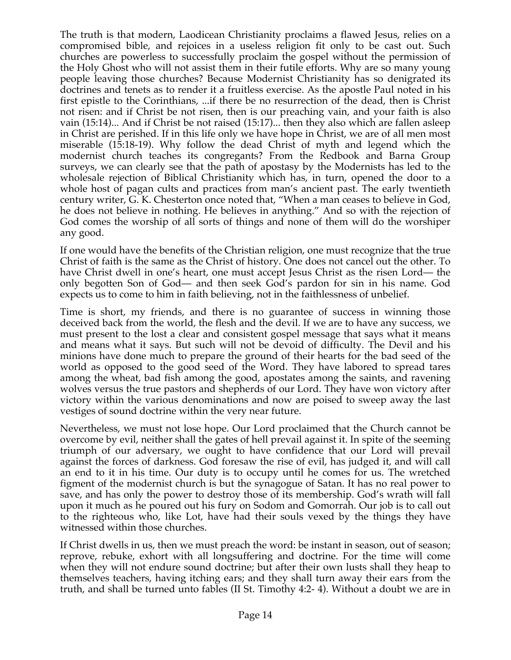The truth is that modern, Laodicean Christianity proclaims a flawed Jesus, relies on a compromised bible, and rejoices in a useless religion fit only to be cast out. Such churches are powerless to successfully proclaim the gospel without the permission of the Holy Ghost who will not assist them in their futile efforts. Why are so many young people leaving those churches? Because Modernist Christianity has so denigrated its doctrines and tenets as to render it a fruitless exercise. As the apostle Paul noted in his first epistle to the Corinthians, ...if there be no resurrection of the dead, then is Christ not risen: and if Christ be not risen, then is our preaching vain, and your faith is also vain (15:14)... And if Christ be not raised (15:17)... then they also which are fallen asleep in Christ are perished. If in this life only we have hope in Christ, we are of all men most miserable (15:18-19). Why follow the dead Christ of myth and legend which the modernist church teaches its congregants? From the Redbook and Barna Group surveys, we can clearly see that the path of apostasy by the Modernists has led to the wholesale rejection of Biblical Christianity which has, in turn, opened the door to a whole host of pagan cults and practices from man's ancient past. The early twentieth century writer, G. K. Chesterton once noted that, "When a man ceases to believe in God, he does not believe in nothing. He believes in anything." And so with the rejection of God comes the worship of all sorts of things and none of them will do the worshiper any good.

If one would have the benefits of the Christian religion, one must recognize that the true Christ of faith is the same as the Christ of history. One does not cancel out the other. To have Christ dwell in one's heart, one must accept Jesus Christ as the risen Lord— the only begotten Son of God— and then seek God's pardon for sin in his name. God expects us to come to him in faith believing, not in the faithlessness of unbelief.

Time is short, my friends, and there is no guarantee of success in winning those deceived back from the world, the flesh and the devil. If we are to have any success, we must present to the lost a clear and consistent gospel message that says what it means and means what it says. But such will not be devoid of difficulty. The Devil and his minions have done much to prepare the ground of their hearts for the bad seed of the world as opposed to the good seed of the Word. They have labored to spread tares among the wheat, bad fish among the good, apostates among the saints, and ravening wolves versus the true pastors and shepherds of our Lord. They have won victory after victory within the various denominations and now are poised to sweep away the last vestiges of sound doctrine within the very near future.

Nevertheless, we must not lose hope. Our Lord proclaimed that the Church cannot be overcome by evil, neither shall the gates of hell prevail against it. In spite of the seeming triumph of our adversary, we ought to have confidence that our Lord will prevail against the forces of darkness. God foresaw the rise of evil, has judged it, and will call an end to it in his time. Our duty is to occupy until he comes for us. The wretched figment of the modernist church is but the synagogue of Satan. It has no real power to save, and has only the power to destroy those of its membership. God's wrath will fall upon it much as he poured out his fury on Sodom and Gomorrah. Our job is to call out to the righteous who, like Lot, have had their souls vexed by the things they have witnessed within those churches.

If Christ dwells in us, then we must preach the word: be instant in season, out of season; reprove, rebuke, exhort with all longsuffering and doctrine. For the time will come when they will not endure sound doctrine; but after their own lusts shall they heap to themselves teachers, having itching ears; and they shall turn away their ears from the truth, and shall be turned unto fables (II St. Timothy 4:2- 4). Without a doubt we are in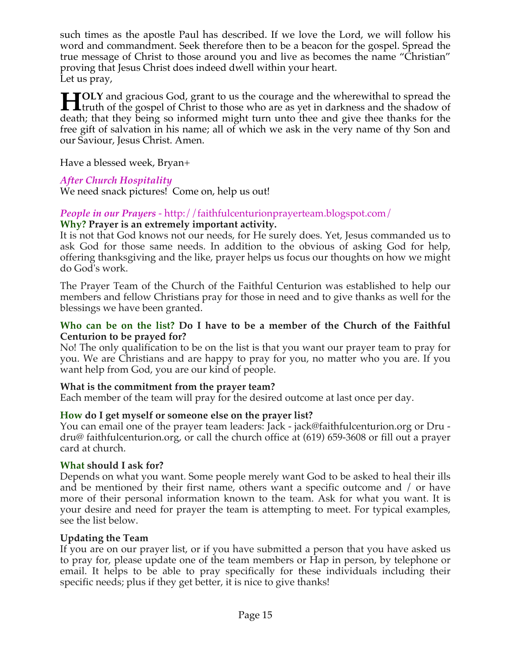such times as the apostle Paul has described. If we love the Lord, we will follow his word and commandment. Seek therefore then to be a beacon for the gospel. Spread the true message of Christ to those around you and live as becomes the name "Christian" proving that Jesus Christ does indeed dwell within your heart. Let us pray,

**OLY** and gracious God, grant to us the courage and the wherewithal to spread the **the first** to the gospel of christ to those who are as yet in darkness and the shadow of the gospel of Christ to those who are as yet in darkness and the shadow of death; that they being so informed might turn unto thee and give thee thanks for the free gift of salvation in his name; all of which we ask in the very name of thy Son and our Saviour, Jesus Christ. Amen.

Have a blessed week, Bryan+

## *After Church Hospitality*

We need snack pictures! Come on, help us out!

### *People in our Prayers* - http://faithfulcenturionprayerteam.blogspot.com/ **Why? Prayer is an extremely important activity.**

It is not that God knows not our needs, for He surely does. Yet, Jesus commanded us to ask God for those same needs. In addition to the obvious of asking God for help, offering thanksgiving and the like, prayer helps us focus our thoughts on how we might do God's work.

The Prayer Team of the Church of the Faithful Centurion was established to help our members and fellow Christians pray for those in need and to give thanks as well for the blessings we have been granted.

### **Who can be on the list? Do I have to be a member of the Church of the Faithful Centurion to be prayed for?**

No! The only qualification to be on the list is that you want our prayer team to pray for you. We are Christians and are happy to pray for you, no matter who you are. If you want help from God, you are our kind of people.

## **What is the commitment from the prayer team?**

Each member of the team will pray for the desired outcome at last once per day.

## **How do I get myself or someone else on the prayer list?**

You can email one of the prayer team leaders: Jack - jack@faithfulcenturion.org or Dru dru@ faithfulcenturion.org, or call the church office at (619) 659-3608 or fill out a prayer card at church.

### **What should I ask for?**

Depends on what you want. Some people merely want God to be asked to heal their ills and be mentioned by their first name, others want a specific outcome and / or have more of their personal information known to the team. Ask for what you want. It is your desire and need for prayer the team is attempting to meet. For typical examples, see the list below.

### **Updating the Team**

If you are on our prayer list, or if you have submitted a person that you have asked us to pray for, please update one of the team members or Hap in person, by telephone or email. It helps to be able to pray specifically for these individuals including their specific needs; plus if they get better, it is nice to give thanks!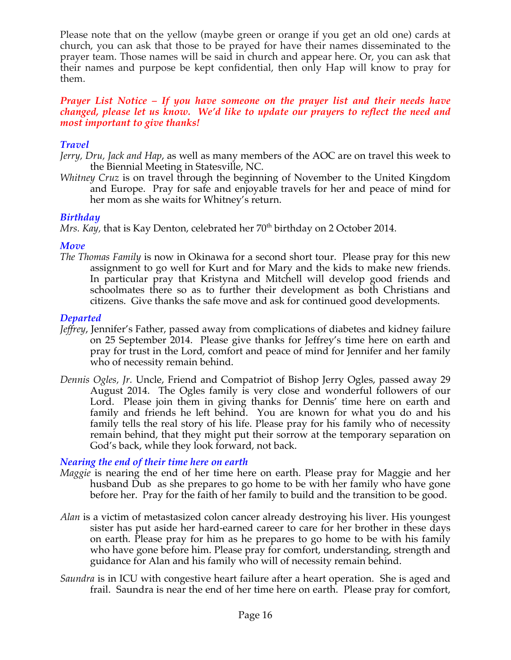Please note that on the yellow (maybe green or orange if you get an old one) cards at church, you can ask that those to be prayed for have their names disseminated to the prayer team. Those names will be said in church and appear here. Or, you can ask that their names and purpose be kept confidential, then only Hap will know to pray for them.

### *Prayer List Notice – If you have someone on the prayer list and their needs have changed, please let us know. We'd like to update our prayers to reflect the need and most important to give thanks!*

## *Travel*

*Jerry, Dru, Jack and Hap*, as well as many members of the AOC are on travel this week to the Biennial Meeting in Statesville, NC.

*Whitney Cruz* is on travel through the beginning of November to the United Kingdom and Europe. Pray for safe and enjoyable travels for her and peace of mind for her mom as she waits for Whitney's return.

## *Birthday*

*Mrs. Kay*, that is Kay Denton, celebrated her 70<sup>th</sup> birthday on 2 October 2014.

## *Move*

*The Thomas Family* is now in Okinawa for a second short tour. Please pray for this new assignment to go well for Kurt and for Mary and the kids to make new friends. In particular pray that Kristyna and Mitchell will develop good friends and schoolmates there so as to further their development as both Christians and citizens. Give thanks the safe move and ask for continued good developments.

## *Departed*

- *Jeffrey*, Jennifer's Father, passed away from complications of diabetes and kidney failure on 25 September 2014. Please give thanks for Jeffrey's time here on earth and pray for trust in the Lord, comfort and peace of mind for Jennifer and her family who of necessity remain behind.
- *Dennis Ogles, Jr.* Uncle, Friend and Compatriot of Bishop Jerry Ogles, passed away 29 August 2014. The Ogles family is very close and wonderful followers of our Lord. Please join them in giving thanks for Dennis' time here on earth and family and friends he left behind. You are known for what you do and his family tells the real story of his life. Please pray for his family who of necessity remain behind, that they might put their sorrow at the temporary separation on God's back, while they look forward, not back.

## *Nearing the end of their time here on earth*

- *Maggie* is nearing the end of her time here on earth. Please pray for Maggie and her husband Dub as she prepares to go home to be with her family who have gone before her. Pray for the faith of her family to build and the transition to be good.
- *Alan* is a victim of metastasized colon cancer already destroying his liver. His youngest sister has put aside her hard-earned career to care for her brother in these days on earth. Please pray for him as he prepares to go home to be with his family who have gone before him. Please pray for comfort, understanding, strength and guidance for Alan and his family who will of necessity remain behind.
- *Saundra* is in ICU with congestive heart failure after a heart operation. She is aged and frail. Saundra is near the end of her time here on earth. Please pray for comfort,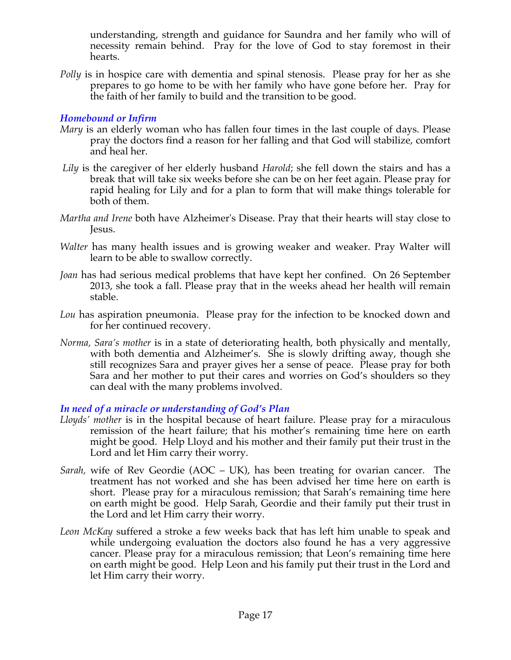understanding, strength and guidance for Saundra and her family who will of necessity remain behind. Pray for the love of God to stay foremost in their hearts.

*Polly* is in hospice care with dementia and spinal stenosis. Please pray for her as she prepares to go home to be with her family who have gone before her. Pray for the faith of her family to build and the transition to be good.

### *Homebound or Infirm*

- *Mary* is an elderly woman who has fallen four times in the last couple of days. Please pray the doctors find a reason for her falling and that God will stabilize, comfort and heal her.
- *Lily* is the caregiver of her elderly husband *Harold*; she fell down the stairs and has a break that will take six weeks before she can be on her feet again. Please pray for rapid healing for Lily and for a plan to form that will make things tolerable for both of them.
- *Martha and Irene* both have Alzheimer's Disease. Pray that their hearts will stay close to Jesus.
- *Walter* has many health issues and is growing weaker and weaker. Pray Walter will learn to be able to swallow correctly.
- *Joan* has had serious medical problems that have kept her confined. On 26 September 2013, she took a fall. Please pray that in the weeks ahead her health will remain stable.
- *Lou* has aspiration pneumonia. Please pray for the infection to be knocked down and for her continued recovery.
- *Norma, Sara's mother* is in a state of deteriorating health, both physically and mentally, with both dementia and Alzheimer's. She is slowly drifting away, though she still recognizes Sara and prayer gives her a sense of peace. Please pray for both Sara and her mother to put their cares and worries on God's shoulders so they can deal with the many problems involved.

### *In need of a miracle or understanding of God's Plan*

- *Lloyds' mother* is in the hospital because of heart failure. Please pray for a miraculous remission of the heart failure; that his mother's remaining time here on earth might be good. Help Lloyd and his mother and their family put their trust in the Lord and let Him carry their worry.
- *Sarah,* wife of Rev Geordie (AOC UK), has been treating for ovarian cancer. The treatment has not worked and she has been advised her time here on earth is short. Please pray for a miraculous remission; that Sarah's remaining time here on earth might be good. Help Sarah, Geordie and their family put their trust in the Lord and let Him carry their worry.
- *Leon McKay* suffered a stroke a few weeks back that has left him unable to speak and while undergoing evaluation the doctors also found he has a very aggressive cancer. Please pray for a miraculous remission; that Leon's remaining time here on earth might be good. Help Leon and his family put their trust in the Lord and let Him carry their worry.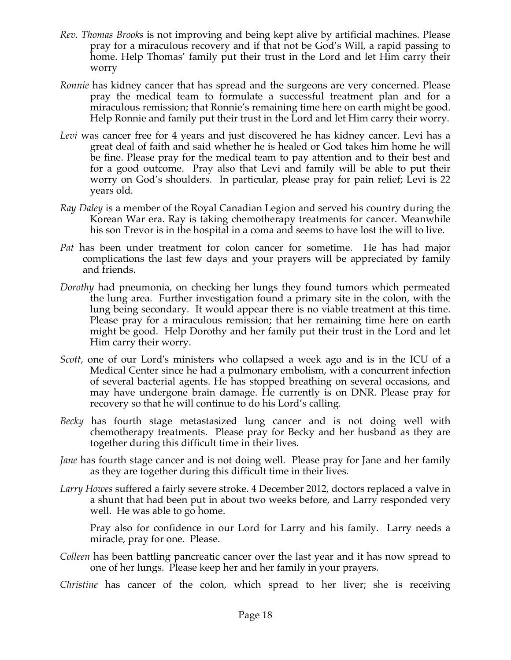- *Rev. Thomas Brooks* is not improving and being kept alive by artificial machines. Please pray for a miraculous recovery and if that not be God's Will, a rapid passing to home. Help Thomas' family put their trust in the Lord and let Him carry their worry
- *Ronnie* has kidney cancer that has spread and the surgeons are very concerned. Please pray the medical team to formulate a successful treatment plan and for a miraculous remission; that Ronnie's remaining time here on earth might be good. Help Ronnie and family put their trust in the Lord and let Him carry their worry.
- *Levi* was cancer free for 4 years and just discovered he has kidney cancer. Levi has a great deal of faith and said whether he is healed or God takes him home he will be fine. Please pray for the medical team to pay attention and to their best and for a good outcome. Pray also that Levi and family will be able to put their worry on God's shoulders. In particular, please pray for pain relief; Levi is 22 years old.
- *Ray Daley* is a member of the Royal Canadian Legion and served his country during the Korean War era. Ray is taking chemotherapy treatments for cancer. Meanwhile his son Trevor is in the hospital in a coma and seems to have lost the will to live.
- *Pat* has been under treatment for colon cancer for sometime. He has had major complications the last few days and your prayers will be appreciated by family and friends.
- *Dorothy* had pneumonia, on checking her lungs they found tumors which permeated the lung area. Further investigation found a primary site in the colon, with the lung being secondary. It would appear there is no viable treatment at this time. Please pray for a miraculous remission; that her remaining time here on earth might be good. Help Dorothy and her family put their trust in the Lord and let Him carry their worry.
- *Scott,* one of our Lord's ministers who collapsed a week ago and is in the ICU of a Medical Center since he had a pulmonary embolism, with a concurrent infection of several bacterial agents. He has stopped breathing on several occasions, and may have undergone brain damage. He currently is on DNR. Please pray for recovery so that he will continue to do his Lord's calling*.*
- *Becky* has fourth stage metastasized lung cancer and is not doing well with chemotherapy treatments. Please pray for Becky and her husband as they are together during this difficult time in their lives.
- *Jane* has fourth stage cancer and is not doing well. Please pray for Jane and her family as they are together during this difficult time in their lives.
- *Larry Howes* suffered a fairly severe stroke. 4 December 2012, doctors replaced a valve in a shunt that had been put in about two weeks before, and Larry responded very well. He was able to go home.

Pray also for confidence in our Lord for Larry and his family. Larry needs a miracle, pray for one. Please.

- *Colleen* has been battling pancreatic cancer over the last year and it has now spread to one of her lungs. Please keep her and her family in your prayers.
- *Christine* has cancer of the colon, which spread to her liver; she is receiving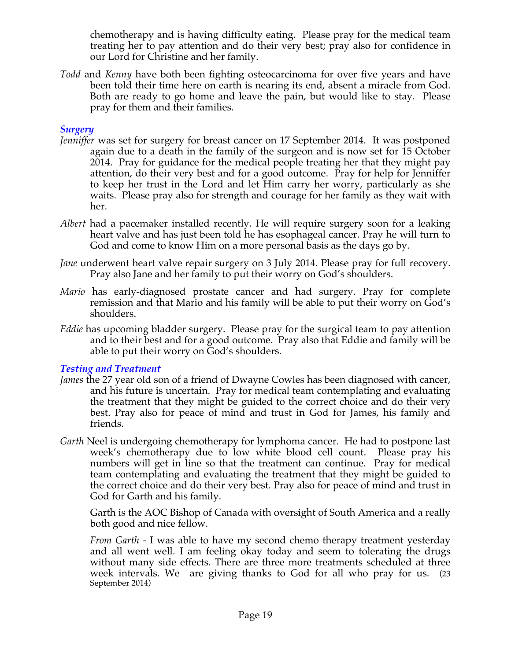chemotherapy and is having difficulty eating. Please pray for the medical team treating her to pay attention and do their very best; pray also for confidence in our Lord for Christine and her family.

*Todd* and *Kenny* have both been fighting osteocarcinoma for over five years and have been told their time here on earth is nearing its end, absent a miracle from God. Both are ready to go home and leave the pain, but would like to stay. Please pray for them and their families.

## *Surgery*

- *Jenniffer* was set for surgery for breast cancer on 17 September 2014. It was postponed again due to a death in the family of the surgeon and is now set for 15 October 2014. Pray for guidance for the medical people treating her that they might pay attention, do their very best and for a good outcome. Pray for help for Jenniffer to keep her trust in the Lord and let Him carry her worry, particularly as she waits. Please pray also for strength and courage for her family as they wait with her.
- *Albert* had a pacemaker installed recently. He will require surgery soon for a leaking heart valve and has just been told he has esophageal cancer. Pray he will turn to God and come to know Him on a more personal basis as the days go by.
- *Jane* underwent heart valve repair surgery on 3 July 2014. Please pray for full recovery. Pray also Jane and her family to put their worry on God's shoulders.
- *Mario* has early-diagnosed prostate cancer and had surgery. Pray for complete remission and that Mario and his family will be able to put their worry on God's shoulders.
- *Eddie* has upcoming bladder surgery. Please pray for the surgical team to pay attention and to their best and for a good outcome. Pray also that Eddie and family will be able to put their worry on God's shoulders.

## *Testing and Treatment*

- *James* the 27 year old son of a friend of Dwayne Cowles has been diagnosed with cancer, and his future is uncertain. Pray for medical team contemplating and evaluating the treatment that they might be guided to the correct choice and do their very best. Pray also for peace of mind and trust in God for James, his family and friends.
- *Garth* Neel is undergoing chemotherapy for lymphoma cancer. He had to postpone last week's chemotherapy due to low white blood cell count. Please pray his numbers will get in line so that the treatment can continue. Pray for medical team contemplating and evaluating the treatment that they might be guided to the correct choice and do their very best. Pray also for peace of mind and trust in God for Garth and his family.

Garth is the AOC Bishop of Canada with oversight of South America and a really both good and nice fellow.

*From Garth* - I was able to have my second chemo therapy treatment yesterday and all went well. I am feeling okay today and seem to tolerating the drugs without many side effects. There are three more treatments scheduled at three week intervals. We are giving thanks to God for all who pray for us. (23 September 2014)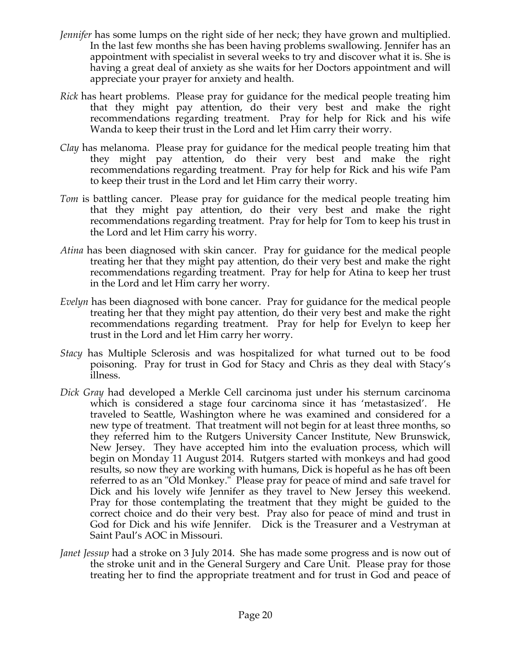- *Jennifer* has some lumps on the right side of her neck; they have grown and multiplied. In the last few months she has been having problems swallowing. Jennifer has an appointment with specialist in several weeks to try and discover what it is. She is having a great deal of anxiety as she waits for her Doctors appointment and will appreciate your prayer for anxiety and health.
- *Rick* has heart problems. Please pray for guidance for the medical people treating him that they might pay attention, do their very best and make the right recommendations regarding treatment. Pray for help for Rick and his wife Wanda to keep their trust in the Lord and let Him carry their worry.
- *Clay* has melanoma. Please pray for guidance for the medical people treating him that they might pay attention, do their very best and make the right recommendations regarding treatment. Pray for help for Rick and his wife Pam to keep their trust in the Lord and let Him carry their worry.
- *Tom* is battling cancer. Please pray for guidance for the medical people treating him that they might pay attention, do their very best and make the right recommendations regarding treatment. Pray for help for Tom to keep his trust in the Lord and let Him carry his worry.
- *Atina* has been diagnosed with skin cancer. Pray for guidance for the medical people treating her that they might pay attention, do their very best and make the right recommendations regarding treatment. Pray for help for Atina to keep her trust in the Lord and let Him carry her worry.
- *Evelyn* has been diagnosed with bone cancer. Pray for guidance for the medical people treating her that they might pay attention, do their very best and make the right recommendations regarding treatment. Pray for help for Evelyn to keep her trust in the Lord and let Him carry her worry.
- *Stacy* has Multiple Sclerosis and was hospitalized for what turned out to be food poisoning. Pray for trust in God for Stacy and Chris as they deal with Stacy's illness.
- *Dick Gray* had developed a Merkle Cell carcinoma just under his sternum carcinoma which is considered a stage four carcinoma since it has 'metastasized'. He traveled to Seattle, Washington where he was examined and considered for a new type of treatment. That treatment will not begin for at least three months, so they referred him to the Rutgers University Cancer Institute, New Brunswick, New Jersey. They have accepted him into the evaluation process, which will begin on Monday 11 August 2014. Rutgers started with monkeys and had good results, so now they are working with humans, Dick is hopeful as he has oft been referred to as an "Old Monkey." Please pray for peace of mind and safe travel for Dick and his lovely wife Jennifer as they travel to New Jersey this weekend. Pray for those contemplating the treatment that they might be guided to the correct choice and do their very best. Pray also for peace of mind and trust in God for Dick and his wife Jennifer. Dick is the Treasurer and a Vestryman at Saint Paul's AOC in Missouri.
- *Janet Jessup* had a stroke on 3 July 2014. She has made some progress and is now out of the stroke unit and in the General Surgery and Care Unit. Please pray for those treating her to find the appropriate treatment and for trust in God and peace of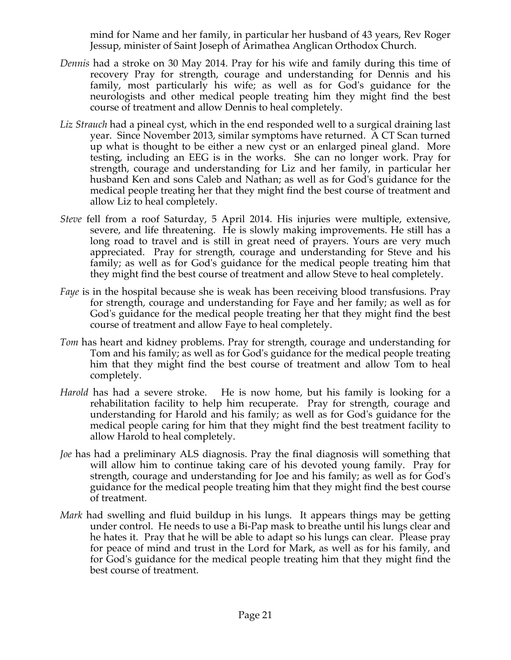mind for Name and her family, in particular her husband of 43 years, Rev Roger Jessup, minister of Saint Joseph of Arimathea Anglican Orthodox Church.

- *Dennis* had a stroke on 30 May 2014. Pray for his wife and family during this time of recovery Pray for strength, courage and understanding for Dennis and his family, most particularly his wife; as well as for God's guidance for the neurologists and other medical people treating him they might find the best course of treatment and allow Dennis to heal completely.
- *Liz Strauch* had a pineal cyst, which in the end responded well to a surgical draining last year. Since November 2013, similar symptoms have returned. A CT Scan turned up what is thought to be either a new cyst or an enlarged pineal gland. More testing, including an EEG is in the works. She can no longer work. Pray for strength, courage and understanding for Liz and her family, in particular her husband Ken and sons Caleb and Nathan; as well as for God's guidance for the medical people treating her that they might find the best course of treatment and allow Liz to heal completely.
- *Steve* fell from a roof Saturday, 5 April 2014. His injuries were multiple, extensive, severe, and life threatening. He is slowly making improvements. He still has a long road to travel and is still in great need of prayers. Yours are very much appreciated. Pray for strength, courage and understanding for Steve and his family; as well as for God's guidance for the medical people treating him that they might find the best course of treatment and allow Steve to heal completely.
- *Faye* is in the hospital because she is weak has been receiving blood transfusions. Pray for strength, courage and understanding for Faye and her family; as well as for God's guidance for the medical people treating her that they might find the best course of treatment and allow Faye to heal completely.
- *Tom* has heart and kidney problems. Pray for strength, courage and understanding for Tom and his family; as well as for God's guidance for the medical people treating him that they might find the best course of treatment and allow Tom to heal completely.
- *Harold* has had a severe stroke. He is now home, but his family is looking for a rehabilitation facility to help him recuperate. Pray for strength, courage and understanding for Harold and his family; as well as for God's guidance for the medical people caring for him that they might find the best treatment facility to allow Harold to heal completely.
- *Joe* has had a preliminary ALS diagnosis. Pray the final diagnosis will something that will allow him to continue taking care of his devoted young family. Pray for strength, courage and understanding for Joe and his family; as well as for God's guidance for the medical people treating him that they might find the best course of treatment.
- *Mark* had swelling and fluid buildup in his lungs. It appears things may be getting under control. He needs to use a Bi-Pap mask to breathe until his lungs clear and he hates it. Pray that he will be able to adapt so his lungs can clear. Please pray for peace of mind and trust in the Lord for Mark, as well as for his family, and for God's guidance for the medical people treating him that they might find the best course of treatment.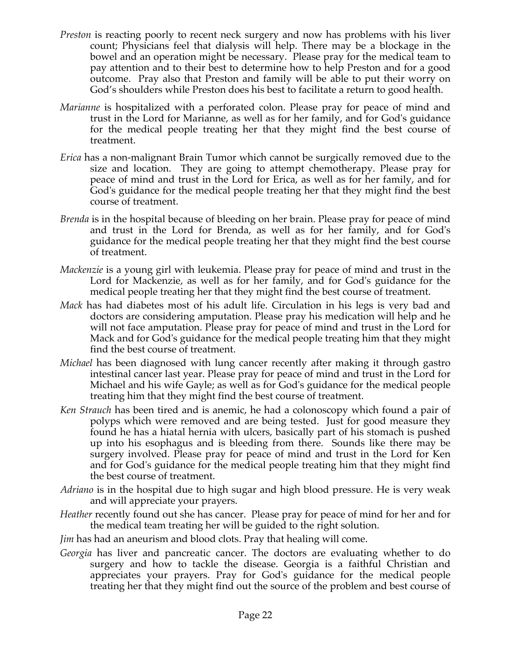- *Preston* is reacting poorly to recent neck surgery and now has problems with his liver count; Physicians feel that dialysis will help. There may be a blockage in the bowel and an operation might be necessary. Please pray for the medical team to pay attention and to their best to determine how to help Preston and for a good outcome. Pray also that Preston and family will be able to put their worry on God's shoulders while Preston does his best to facilitate a return to good health.
- *Marianne* is hospitalized with a perforated colon. Please pray for peace of mind and trust in the Lord for Marianne, as well as for her family, and for God's guidance for the medical people treating her that they might find the best course of treatment.
- *Erica* has a non-malignant Brain Tumor which cannot be surgically removed due to the size and location. They are going to attempt chemotherapy. Please pray for peace of mind and trust in the Lord for Erica, as well as for her family, and for God's guidance for the medical people treating her that they might find the best course of treatment.
- *Brenda* is in the hospital because of bleeding on her brain. Please pray for peace of mind and trust in the Lord for Brenda, as well as for her family, and for God's guidance for the medical people treating her that they might find the best course of treatment.
- *Mackenzie* is a young girl with leukemia. Please pray for peace of mind and trust in the Lord for Mackenzie, as well as for her family, and for God's guidance for the medical people treating her that they might find the best course of treatment.
- *Mack* has had diabetes most of his adult life. Circulation in his legs is very bad and doctors are considering amputation. Please pray his medication will help and he will not face amputation. Please pray for peace of mind and trust in the Lord for Mack and for God's guidance for the medical people treating him that they might find the best course of treatment.
- *Michael* has been diagnosed with lung cancer recently after making it through gastro intestinal cancer last year. Please pray for peace of mind and trust in the Lord for Michael and his wife Gayle; as well as for God's guidance for the medical people treating him that they might find the best course of treatment.
- *Ken Strauch* has been tired and is anemic, he had a colonoscopy which found a pair of polyps which were removed and are being tested. Just for good measure they found he has a hiatal hernia with ulcers, basically part of his stomach is pushed up into his esophagus and is bleeding from there. Sounds like there may be surgery involved. Please pray for peace of mind and trust in the Lord for Ken and for God's guidance for the medical people treating him that they might find the best course of treatment.
- *Adriano* is in the hospital due to high sugar and high blood pressure. He is very weak and will appreciate your prayers.
- *Heather* recently found out she has cancer. Please pray for peace of mind for her and for the medical team treating her will be guided to the right solution.
- *Jim* has had an aneurism and blood clots. Pray that healing will come.
- *Georgia* has liver and pancreatic cancer. The doctors are evaluating whether to do surgery and how to tackle the disease. Georgia is a faithful Christian and appreciates your prayers. Pray for God's guidance for the medical people treating her that they might find out the source of the problem and best course of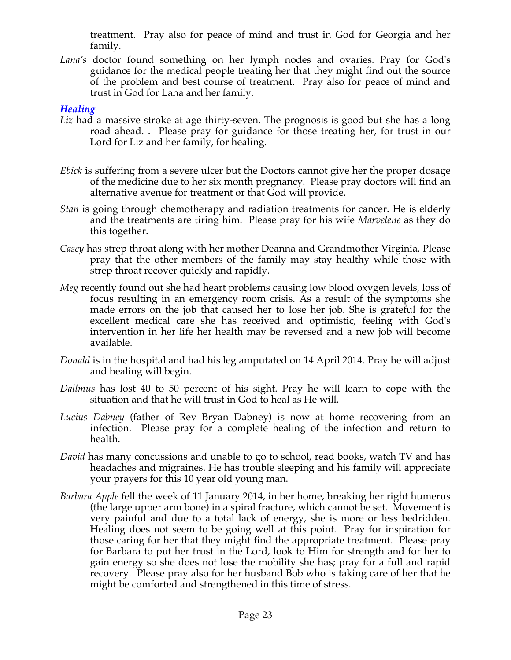treatment. Pray also for peace of mind and trust in God for Georgia and her family.

*Lana's* doctor found something on her lymph nodes and ovaries. Pray for God's guidance for the medical people treating her that they might find out the source of the problem and best course of treatment. Pray also for peace of mind and trust in God for Lana and her family.

### *Healing*

- *Liz* had a massive stroke at age thirty-seven. The prognosis is good but she has a long road ahead. . Please pray for guidance for those treating her, for trust in our Lord for Liz and her family, for healing.
- *Ebick* is suffering from a severe ulcer but the Doctors cannot give her the proper dosage of the medicine due to her six month pregnancy. Please pray doctors will find an alternative avenue for treatment or that God will provide.
- *Stan* is going through chemotherapy and radiation treatments for cancer. He is elderly and the treatments are tiring him. Please pray for his wife *Marvelene* as they do this together.
- *Casey* has strep throat along with her mother Deanna and Grandmother Virginia. Please pray that the other members of the family may stay healthy while those with strep throat recover quickly and rapidly.
- *Meg* recently found out she had heart problems causing low blood oxygen levels, loss of focus resulting in an emergency room crisis. As a result of the symptoms she made errors on the job that caused her to lose her job. She is grateful for the excellent medical care she has received and optimistic, feeling with God's intervention in her life her health may be reversed and a new job will become available.
- *Donald* is in the hospital and had his leg amputated on 14 April 2014. Pray he will adjust and healing will begin.
- *Dallmus* has lost 40 to 50 percent of his sight. Pray he will learn to cope with the situation and that he will trust in God to heal as He will.
- *Lucius Dabney* (father of Rev Bryan Dabney) is now at home recovering from an infection. Please pray for a complete healing of the infection and return to health.
- *David* has many concussions and unable to go to school, read books, watch TV and has headaches and migraines. He has trouble sleeping and his family will appreciate your prayers for this 10 year old young man.
- *Barbara Apple* fell the week of 11 January 2014, in her home, breaking her right humerus (the large upper arm bone) in a spiral fracture, which cannot be set. Movement is very painful and due to a total lack of energy, she is more or less bedridden. Healing does not seem to be going well at this point. Pray for inspiration for those caring for her that they might find the appropriate treatment. Please pray for Barbara to put her trust in the Lord, look to Him for strength and for her to gain energy so she does not lose the mobility she has; pray for a full and rapid recovery. Please pray also for her husband Bob who is taking care of her that he might be comforted and strengthened in this time of stress.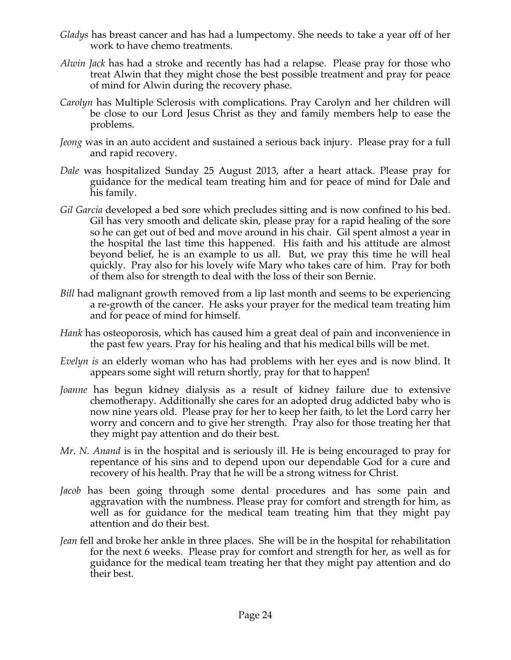- *Gladys* has breast cancer and has had a lumpectomy. She needs to take a year off of her work to have chemo treatments.
- *Alwin Jack* has had a stroke and recently has had a relapse. Please pray for those who treat Alwin that they might chose the best possible treatment and pray for peace of mind for Alwin during the recovery phase.
- *Carolyn* has Multiple Sclerosis with complications. Pray Carolyn and her children will be close to our Lord Jesus Christ as they and family members help to ease the problems.
- *Jeong* was in an auto accident and sustained a serious back injury. Please pray for a full and rapid recovery.
- *Dale* was hospitalized Sunday 25 August 2013, after a heart attack. Please pray for guidance for the medical team treating him and for peace of mind for Dale and his family.
- *Gil Garcia* developed a bed sore which precludes sitting and is now confined to his bed. Gil has very smooth and delicate skin, please pray for a rapid healing of the sore so he can get out of bed and move around in his chair. Gil spent almost a year in the hospital the last time this happened. His faith and his attitude are almost beyond belief, he is an example to us all. But, we pray this time he will heal quickly. Pray also for his lovely wife Mary who takes care of him. Pray for both of them also for strength to deal with the loss of their son Bernie.
- *Bill* had malignant growth removed from a lip last month and seems to be experiencing a re-growth of the cancer. He asks your prayer for the medical team treating him and for peace of mind for himself.
- *Hank* has osteoporosis, which has caused him a great deal of pain and inconvenience in the past few years. Pray for his healing and that his medical bills will be met.
- *Evelyn is* an elderly woman who has had problems with her eyes and is now blind. It appears some sight will return shortly, pray for that to happen!
- *Joanne* has begun kidney dialysis as a result of kidney failure due to extensive chemotherapy. Additionally she cares for an adopted drug addicted baby who is now nine years old. Please pray for her to keep her faith, to let the Lord carry her worry and concern and to give her strength. Pray also for those treating her that they might pay attention and do their best.
- *Mr. N. Anand* is in the hospital and is seriously ill. He is being encouraged to pray for repentance of his sins and to depend upon our dependable God for a cure and recovery of his health. Pray that he will be a strong witness for Christ.
- *Jacob* has been going through some dental procedures and has some pain and aggravation with the numbness. Please pray for comfort and strength for him, as well as for guidance for the medical team treating him that they might pay attention and do their best.
- *Jean* fell and broke her ankle in three places. She will be in the hospital for rehabilitation for the next 6 weeks. Please pray for comfort and strength for her, as well as for guidance for the medical team treating her that they might pay attention and do their best.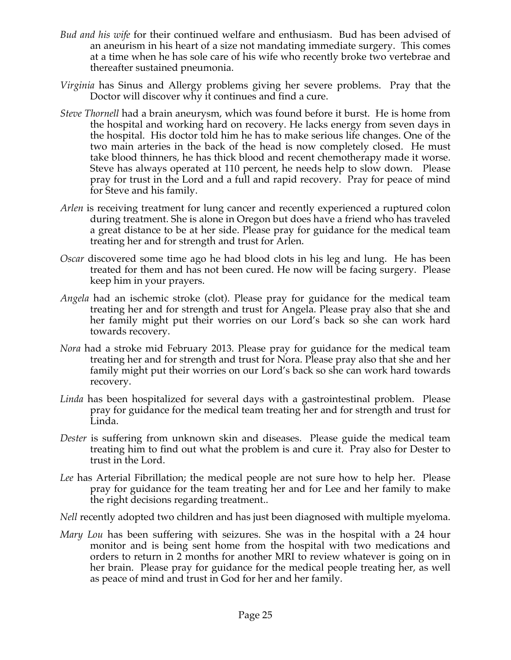- *Bud and his wife* for their continued welfare and enthusiasm. Bud has been advised of an aneurism in his heart of a size not mandating immediate surgery. This comes at a time when he has sole care of his wife who recently broke two vertebrae and thereafter sustained pneumonia.
- *Virginia* has Sinus and Allergy problems giving her severe problems. Pray that the Doctor will discover why it continues and find a cure.
- *Steve Thornell* had a brain aneurysm, which was found before it burst. He is home from the hospital and working hard on recovery. He lacks energy from seven days in the hospital. His doctor told him he has to make serious life changes. One of the two main arteries in the back of the head is now completely closed. He must take blood thinners, he has thick blood and recent chemotherapy made it worse. Steve has always operated at 110 percent, he needs help to slow down. Please pray for trust in the Lord and a full and rapid recovery. Pray for peace of mind for Steve and his family.
- *Arlen* is receiving treatment for lung cancer and recently experienced a ruptured colon during treatment. She is alone in Oregon but does have a friend who has traveled a great distance to be at her side. Please pray for guidance for the medical team treating her and for strength and trust for Arlen.
- *Oscar* discovered some time ago he had blood clots in his leg and lung. He has been treated for them and has not been cured. He now will be facing surgery. Please keep him in your prayers.
- *Angela* had an ischemic stroke (clot). Please pray for guidance for the medical team treating her and for strength and trust for Angela. Please pray also that she and her family might put their worries on our Lord's back so she can work hard towards recovery.
- *Nora* had a stroke mid February 2013. Please pray for guidance for the medical team treating her and for strength and trust for Nora. Please pray also that she and her family might put their worries on our Lord's back so she can work hard towards recovery.
- *Linda* has been hospitalized for several days with a gastrointestinal problem. Please pray for guidance for the medical team treating her and for strength and trust for Linda.
- *Dester* is suffering from unknown skin and diseases. Please guide the medical team treating him to find out what the problem is and cure it. Pray also for Dester to trust in the Lord.
- *Lee* has Arterial Fibrillation; the medical people are not sure how to help her. Please pray for guidance for the team treating her and for Lee and her family to make the right decisions regarding treatment..

*Nell* recently adopted two children and has just been diagnosed with multiple myeloma.

*Mary Lou* has been suffering with seizures. She was in the hospital with a 24 hour monitor and is being sent home from the hospital with two medications and orders to return in 2 months for another MRI to review whatever is going on in her brain. Please pray for guidance for the medical people treating her, as well as peace of mind and trust in God for her and her family.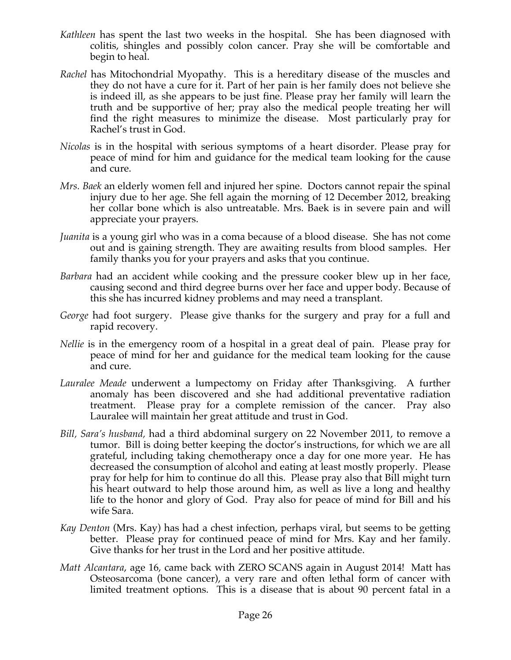- *Kathleen* has spent the last two weeks in the hospital. She has been diagnosed with colitis, shingles and possibly colon cancer. Pray she will be comfortable and begin to heal.
- *Rachel* has Mitochondrial Myopathy. This is a hereditary disease of the muscles and they do not have a cure for it. Part of her pain is her family does not believe she is indeed ill, as she appears to be just fine. Please pray her family will learn the truth and be supportive of her; pray also the medical people treating her will find the right measures to minimize the disease. Most particularly pray for Rachel's trust in God.
- *Nicolas* is in the hospital with serious symptoms of a heart disorder. Please pray for peace of mind for him and guidance for the medical team looking for the cause and cure.
- *Mrs. Baek* an elderly women fell and injured her spine. Doctors cannot repair the spinal injury due to her age. She fell again the morning of 12 December 2012, breaking her collar bone which is also untreatable. Mrs. Baek is in severe pain and will appreciate your prayers.
- *Juanita* is a young girl who was in a coma because of a blood disease. She has not come out and is gaining strength. They are awaiting results from blood samples. Her family thanks you for your prayers and asks that you continue.
- *Barbara* had an accident while cooking and the pressure cooker blew up in her face, causing second and third degree burns over her face and upper body. Because of this she has incurred kidney problems and may need a transplant.
- *George* had foot surgery. Please give thanks for the surgery and pray for a full and rapid recovery.
- *Nellie* is in the emergency room of a hospital in a great deal of pain. Please pray for peace of mind for her and guidance for the medical team looking for the cause and cure.
- *Lauralee Meade* underwent a lumpectomy on Friday after Thanksgiving. A further anomaly has been discovered and she had additional preventative radiation treatment. Please pray for a complete remission of the cancer. Pray also Lauralee will maintain her great attitude and trust in God.
- *Bill, Sara's husband,* had a third abdominal surgery on 22 November 2011, to remove a tumor. Bill is doing better keeping the doctor's instructions, for which we are all grateful, including taking chemotherapy once a day for one more year. He has decreased the consumption of alcohol and eating at least mostly properly. Please pray for help for him to continue do all this. Please pray also that Bill might turn his heart outward to help those around him, as well as live a long and healthy life to the honor and glory of God. Pray also for peace of mind for Bill and his wife Sara.
- *Kay Denton* (Mrs. Kay) has had a chest infection, perhaps viral, but seems to be getting better. Please pray for continued peace of mind for Mrs. Kay and her family. Give thanks for her trust in the Lord and her positive attitude.
- *Matt Alcantara*, age 16, came back with ZERO SCANS again in August 2014! Matt has Osteosarcoma (bone cancer), a very rare and often lethal form of cancer with limited treatment options. This is a disease that is about 90 percent fatal in a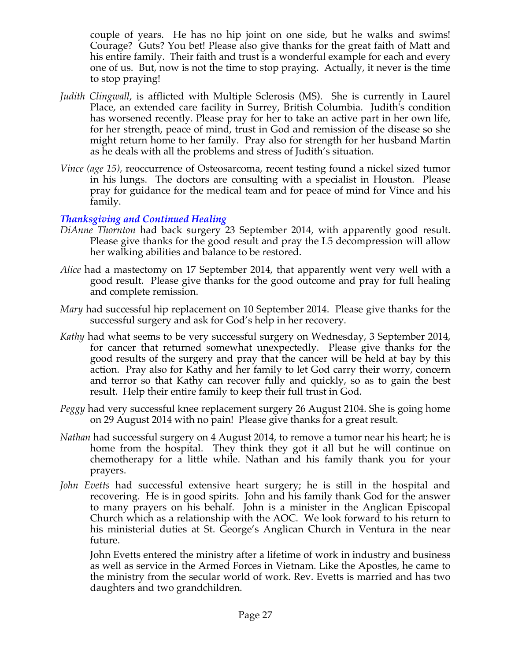couple of years. He has no hip joint on one side, but he walks and swims! Courage? Guts? You bet! Please also give thanks for the great faith of Matt and his entire family. Their faith and trust is a wonderful example for each and every one of us. But, now is not the time to stop praying. Actually, it never is the time to stop praying!

- *Judith Clingwall*, is afflicted with Multiple Sclerosis (MS). She is currently in Laurel Place, an extended care facility in Surrey, British Columbia. Judith's condition has worsened recently. Please pray for her to take an active part in her own life, for her strength, peace of mind, trust in God and remission of the disease so she might return home to her family. Pray also for strength for her husband Martin as he deals with all the problems and stress of Judith's situation.
- *Vince (age 15),* reoccurrence of Osteosarcoma, recent testing found a nickel sized tumor in his lungs. The doctors are consulting with a specialist in Houston. Please pray for guidance for the medical team and for peace of mind for Vince and his family.

### *Thanksgiving and Continued Healing*

- *DiAnne Thornton* had back surgery 23 September 2014, with apparently good result. Please give thanks for the good result and pray the L5 decompression will allow her walking abilities and balance to be restored.
- *Alice* had a mastectomy on 17 September 2014, that apparently went very well with a good result. Please give thanks for the good outcome and pray for full healing and complete remission.
- *Mary* had successful hip replacement on 10 September 2014. Please give thanks for the successful surgery and ask for God's help in her recovery.
- *Kathy* had what seems to be very successful surgery on Wednesday, 3 September 2014, for cancer that returned somewhat unexpectedly. Please give thanks for the good results of the surgery and pray that the cancer will be held at bay by this action. Pray also for Kathy and her family to let God carry their worry, concern and terror so that Kathy can recover fully and quickly, so as to gain the best result. Help their entire family to keep their full trust in God.
- *Peggy* had very successful knee replacement surgery 26 August 2104. She is going home on 29 August 2014 with no pain! Please give thanks for a great result.
- *Nathan* had successful surgery on 4 August 2014, to remove a tumor near his heart; he is home from the hospital. They think they got it all but he will continue on chemotherapy for a little while. Nathan and his family thank you for your prayers.
- *John Evetts* had successful extensive heart surgery; he is still in the hospital and recovering. He is in good spirits. John and his family thank God for the answer to many prayers on his behalf. John is a minister in the Anglican Episcopal Church which as a relationship with the AOC. We look forward to his return to his ministerial duties at St. George's Anglican Church in Ventura in the near future.

John Evetts entered the ministry after a lifetime of work in industry and business as well as service in the Armed Forces in Vietnam. Like the Apostles, he came to the ministry from the secular world of work. Rev. Evetts is married and has two daughters and two grandchildren.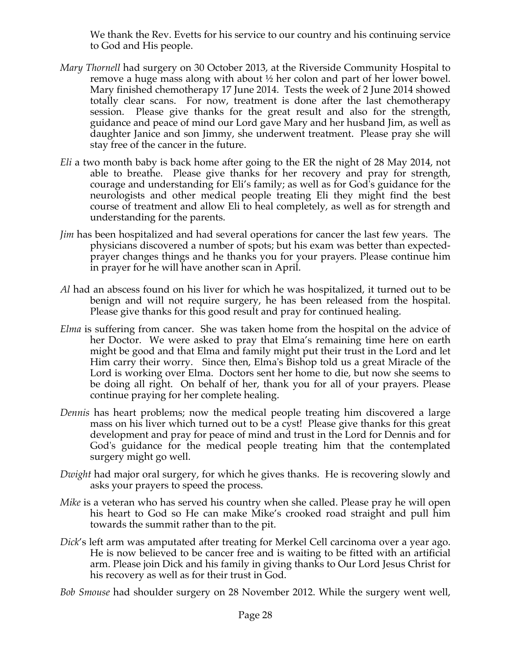We thank the Rev. Evetts for his service to our country and his continuing service to God and His people.

- *Mary Thornell* had surgery on 30 October 2013, at the Riverside Community Hospital to remove a huge mass along with about ½ her colon and part of her lower bowel. Mary finished chemotherapy 17 June 2014. Tests the week of 2 June 2014 showed totally clear scans. For now, treatment is done after the last chemotherapy session. Please give thanks for the great result and also for the strength, guidance and peace of mind our Lord gave Mary and her husband Jim, as well as daughter Janice and son Jimmy, she underwent treatment. Please pray she will stay free of the cancer in the future.
- *Eli* a two month baby is back home after going to the ER the night of 28 May 2014, not able to breathe. Please give thanks for her recovery and pray for strength, courage and understanding for Eli's family; as well as for God's guidance for the neurologists and other medical people treating Eli they might find the best course of treatment and allow Eli to heal completely, as well as for strength and understanding for the parents.
- *Jim* has been hospitalized and had several operations for cancer the last few years. The physicians discovered a number of spots; but his exam was better than expectedprayer changes things and he thanks you for your prayers. Please continue him in prayer for he will have another scan in April.
- *Al* had an abscess found on his liver for which he was hospitalized, it turned out to be benign and will not require surgery, he has been released from the hospital. Please give thanks for this good result and pray for continued healing.
- *Elma* is suffering from cancer. She was taken home from the hospital on the advice of her Doctor. We were asked to pray that Elma's remaining time here on earth might be good and that Elma and family might put their trust in the Lord and let Him carry their worry. Since then, Elma's Bishop told us a great Miracle of the Lord is working over Elma. Doctors sent her home to die, but now she seems to be doing all right. On behalf of her, thank you for all of your prayers. Please continue praying for her complete healing.
- *Dennis* has heart problems; now the medical people treating him discovered a large mass on his liver which turned out to be a cyst! Please give thanks for this great development and pray for peace of mind and trust in the Lord for Dennis and for God's guidance for the medical people treating him that the contemplated surgery might go well.
- *Dwight* had major oral surgery, for which he gives thanks. He is recovering slowly and asks your prayers to speed the process.
- *Mike* is a veteran who has served his country when she called. Please pray he will open his heart to God so He can make Mike's crooked road straight and pull him towards the summit rather than to the pit.
- *Dick*'s left arm was amputated after treating for Merkel Cell carcinoma over a year ago. He is now believed to be cancer free and is waiting to be fitted with an artificial arm. Please join Dick and his family in giving thanks to Our Lord Jesus Christ for his recovery as well as for their trust in God.

*Bob Smouse* had shoulder surgery on 28 November 2012. While the surgery went well,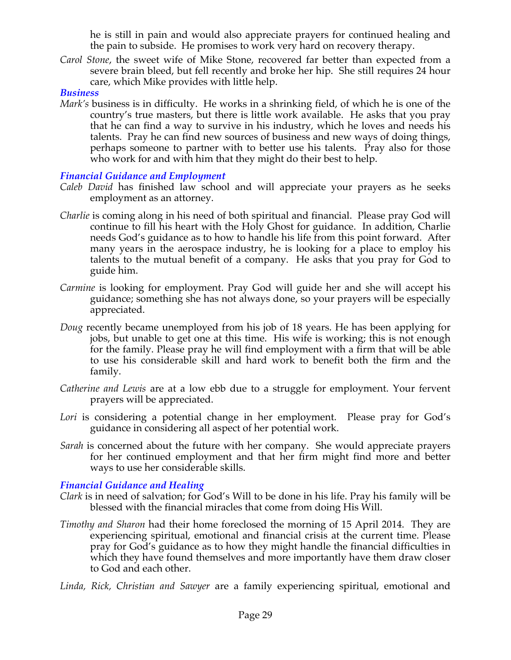he is still in pain and would also appreciate prayers for continued healing and the pain to subside. He promises to work very hard on recovery therapy.

*Carol Stone*, the sweet wife of Mike Stone, recovered far better than expected from a severe brain bleed, but fell recently and broke her hip. She still requires 24 hour care, which Mike provides with little help.

#### *Business*

*Mark's* business is in difficulty. He works in a shrinking field, of which he is one of the country's true masters, but there is little work available. He asks that you pray that he can find a way to survive in his industry, which he loves and needs his talents. Pray he can find new sources of business and new ways of doing things, perhaps someone to partner with to better use his talents. Pray also for those who work for and with him that they might do their best to help.

### *Financial Guidance and Employment*

- *Caleb David* has finished law school and will appreciate your prayers as he seeks employment as an attorney.
- *Charlie* is coming along in his need of both spiritual and financial. Please pray God will continue to fill his heart with the Holy Ghost for guidance. In addition, Charlie needs God's guidance as to how to handle his life from this point forward. After many years in the aerospace industry, he is looking for a place to employ his talents to the mutual benefit of a company. He asks that you pray for God to guide him.
- *Carmine* is looking for employment. Pray God will guide her and she will accept his guidance; something she has not always done, so your prayers will be especially appreciated.
- *Doug* recently became unemployed from his job of 18 years. He has been applying for jobs, but unable to get one at this time. His wife is working; this is not enough for the family. Please pray he will find employment with a firm that will be able to use his considerable skill and hard work to benefit both the firm and the family.
- *Catherine and Lewis* are at a low ebb due to a struggle for employment. Your fervent prayers will be appreciated.
- Lori is considering a potential change in her employment. Please pray for God's guidance in considering all aspect of her potential work.
- *Sarah* is concerned about the future with her company. She would appreciate prayers for her continued employment and that her firm might find more and better ways to use her considerable skills.

### *Financial Guidance and Healing*

- *Clark* is in need of salvation; for God's Will to be done in his life. Pray his family will be blessed with the financial miracles that come from doing His Will.
- *Timothy and Sharon* had their home foreclosed the morning of 15 April 2014. They are experiencing spiritual, emotional and financial crisis at the current time. Please pray for God's guidance as to how they might handle the financial difficulties in which they have found themselves and more importantly have them draw closer to God and each other.
- *Linda, Rick, Christian and Sawyer* are a family experiencing spiritual, emotional and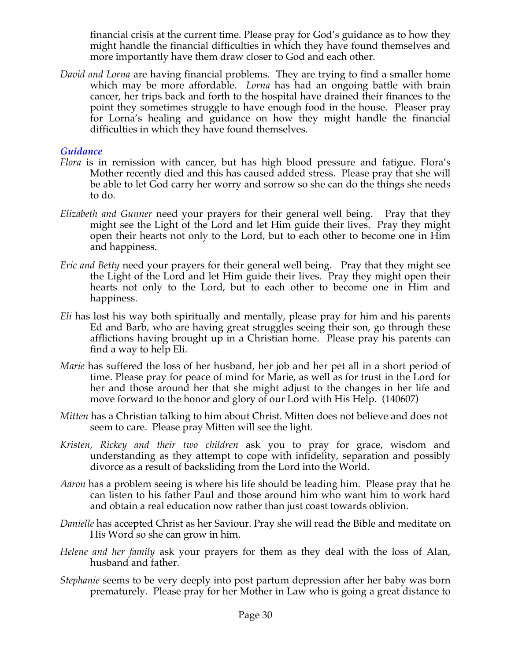financial crisis at the current time. Please pray for God's guidance as to how they might handle the financial difficulties in which they have found themselves and more importantly have them draw closer to God and each other.

*David and Lorna* are having financial problems. They are trying to find a smaller home which may be more affordable. *Lorna* has had an ongoing battle with brain cancer, her trips back and forth to the hospital have drained their finances to the point they sometimes struggle to have enough food in the house. Pleaser pray for Lorna's healing and guidance on how they might handle the financial difficulties in which they have found themselves.

### *Guidance*

- *Flora* is in remission with cancer, but has high blood pressure and fatigue. Flora's Mother recently died and this has caused added stress. Please pray that she will be able to let God carry her worry and sorrow so she can do the things she needs to do.
- *Elizabeth and Gunner* need your prayers for their general well being. Pray that they might see the Light of the Lord and let Him guide their lives. Pray they might open their hearts not only to the Lord, but to each other to become one in Him and happiness.
- *Eric and Betty* need your prayers for their general well being. Pray that they might see the Light of the Lord and let Him guide their lives. Pray they might open their hearts not only to the Lord, but to each other to become one in Him and happiness.
- *Eli* has lost his way both spiritually and mentally, please pray for him and his parents Ed and Barb, who are having great struggles seeing their son, go through these afflictions having brought up in a Christian home. Please pray his parents can find a way to help Eli.
- *Marie* has suffered the loss of her husband, her job and her pet all in a short period of time. Please pray for peace of mind for Marie, as well as for trust in the Lord for her and those around her that she might adjust to the changes in her life and move forward to the honor and glory of our Lord with His Help. (140607)
- *Mitten* has a Christian talking to him about Christ. Mitten does not believe and does not seem to care. Please pray Mitten will see the light.
- *Kristen, Rickey and their two children* ask you to pray for grace, wisdom and understanding as they attempt to cope with infidelity, separation and possibly divorce as a result of backsliding from the Lord into the World.
- *Aaron* has a problem seeing is where his life should be leading him. Please pray that he can listen to his father Paul and those around him who want him to work hard and obtain a real education now rather than just coast towards oblivion.
- *Danielle* has accepted Christ as her Saviour. Pray she will read the Bible and meditate on His Word so she can grow in him.
- *Helene and her family* ask your prayers for them as they deal with the loss of Alan, husband and father.
- *Stephanie* seems to be very deeply into post partum depression after her baby was born prematurely. Please pray for her Mother in Law who is going a great distance to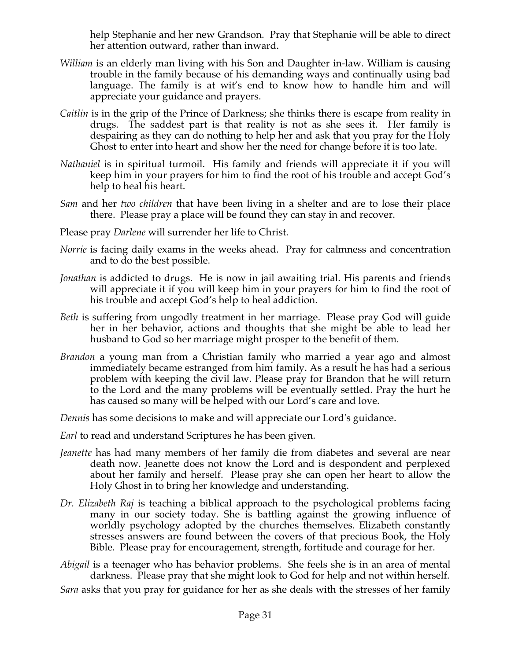help Stephanie and her new Grandson. Pray that Stephanie will be able to direct her attention outward, rather than inward.

- *William* is an elderly man living with his Son and Daughter in-law. William is causing trouble in the family because of his demanding ways and continually using bad language. The family is at wit's end to know how to handle him and will appreciate your guidance and prayers.
- *Caitlin* is in the grip of the Prince of Darkness; she thinks there is escape from reality in drugs. The saddest part is that reality is not as she sees it. Her family is despairing as they can do nothing to help her and ask that you pray for the Holy Ghost to enter into heart and show her the need for change before it is too late.
- *Nathaniel* is in spiritual turmoil. His family and friends will appreciate it if you will keep him in your prayers for him to find the root of his trouble and accept God's help to heal his heart.
- *Sam* and her *two children* that have been living in a shelter and are to lose their place there. Please pray a place will be found they can stay in and recover.
- Please pray *Darlene* will surrender her life to Christ.
- *Norrie* is facing daily exams in the weeks ahead. Pray for calmness and concentration and to do the best possible.
- *Jonathan* is addicted to drugs. He is now in jail awaiting trial. His parents and friends will appreciate it if you will keep him in your prayers for him to find the root of his trouble and accept God's help to heal addiction.
- *Beth* is suffering from ungodly treatment in her marriage. Please pray God will guide her in her behavior, actions and thoughts that she might be able to lead her husband to God so her marriage might prosper to the benefit of them.
- *Brandon* a young man from a Christian family who married a year ago and almost immediately became estranged from him family. As a result he has had a serious problem with keeping the civil law. Please pray for Brandon that he will return to the Lord and the many problems will be eventually settled. Pray the hurt he has caused so many will be helped with our Lord's care and love.

*Dennis* has some decisions to make and will appreciate our Lord's guidance.

*Earl* to read and understand Scriptures he has been given.

- *Jeanette* has had many members of her family die from diabetes and several are near death now. Jeanette does not know the Lord and is despondent and perplexed about her family and herself. Please pray she can open her heart to allow the Holy Ghost in to bring her knowledge and understanding.
- *Dr. Elizabeth Raj* is teaching a biblical approach to the psychological problems facing many in our society today. She is battling against the growing influence of worldly psychology adopted by the churches themselves. Elizabeth constantly stresses answers are found between the covers of that precious Book, the Holy Bible. Please pray for encouragement, strength, fortitude and courage for her.
- *Abigail* is a teenager who has behavior problems. She feels she is in an area of mental darkness. Please pray that she might look to God for help and not within herself.

*Sara* asks that you pray for guidance for her as she deals with the stresses of her family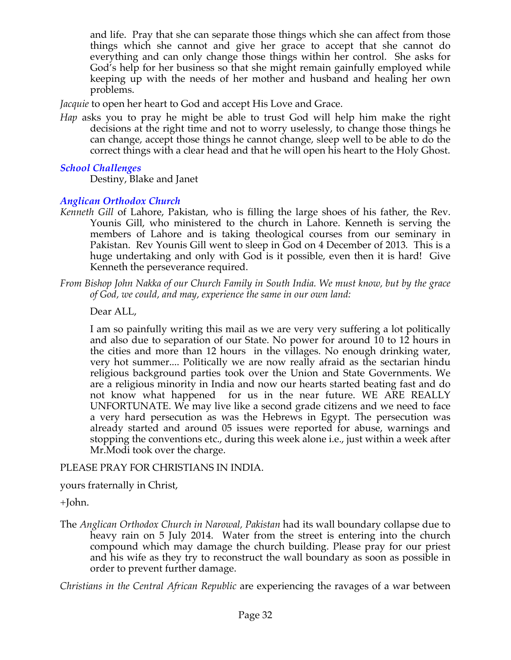and life. Pray that she can separate those things which she can affect from those things which she cannot and give her grace to accept that she cannot do everything and can only change those things within her control. She asks for God's help for her business so that she might remain gainfully employed while keeping up with the needs of her mother and husband and healing her own problems.

*Jacquie* to open her heart to God and accept His Love and Grace.

*Hap* asks you to pray he might be able to trust God will help him make the right decisions at the right time and not to worry uselessly, to change those things he can change, accept those things he cannot change, sleep well to be able to do the correct things with a clear head and that he will open his heart to the Holy Ghost.

## *School Challenges*

Destiny, Blake and Janet

### *Anglican Orthodox Church*

*Kenneth Gill* of Lahore, Pakistan, who is filling the large shoes of his father, the Rev. Younis Gill, who ministered to the church in Lahore. Kenneth is serving the members of Lahore and is taking theological courses from our seminary in Pakistan. Rev Younis Gill went to sleep in God on 4 December of 2013*.* This is a huge undertaking and only with God is it possible, even then it is hard! Give Kenneth the perseverance required.

*From Bishop John Nakka of our Church Family in South India. We must know, but by the grace of God, we could, and may, experience the same in our own land:*

Dear ALL,

I am so painfully writing this mail as we are very very suffering a lot politically and also due to separation of our State. No power for around 10 to 12 hours in the cities and more than 12 hours in the villages. No enough drinking water, very hot summer.... Politically we are now really afraid as the sectarian hindu religious background parties took over the Union and State Governments. We are a religious minority in India and now our hearts started beating fast and do not know what happened for us in the near future. WE ARE REALLY UNFORTUNATE. We may live like a second grade citizens and we need to face a very hard persecution as was the Hebrews in Egypt. The persecution was already started and around 05 issues were reported for abuse, warnings and stopping the conventions etc., during this week alone i.e., just within a week after Mr.Modi took over the charge.

### PLEASE PRAY FOR CHRISTIANS IN INDIA.

yours fraternally in Christ,

+John.

The *Anglican Orthodox Church in Narowal, Pakistan* had its wall boundary collapse due to heavy rain on 5 July 2014. Water from the street is entering into the church compound which may damage the church building. Please pray for our priest and his wife as they try to reconstruct the wall boundary as soon as possible in order to prevent further damage.

*Christians in the Central African Republic* are experiencing the ravages of a war between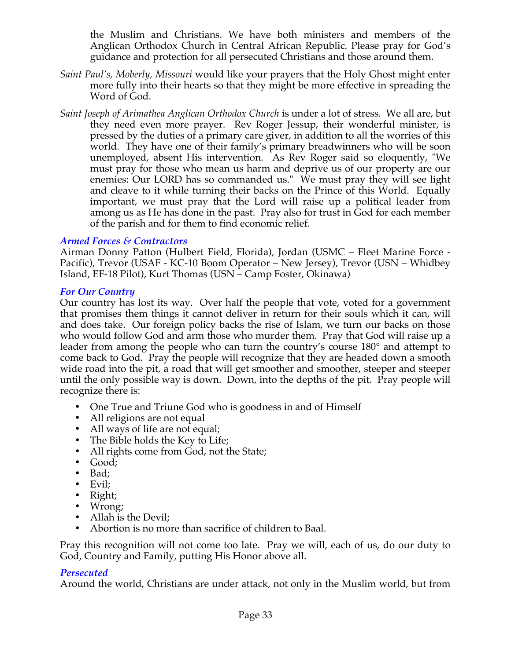the Muslim and Christians. We have both ministers and members of the Anglican Orthodox Church in Central African Republic. Please pray for God's guidance and protection for all persecuted Christians and those around them.

- *Saint Paul's, Moberly, Missouri* would like your prayers that the Holy Ghost might enter more fully into their hearts so that they might be more effective in spreading the Word of God.
- *Saint Joseph of Arimathea Anglican Orthodox Church* is under a lot of stress. We all are, but they need even more prayer. Rev Roger Jessup, their wonderful minister, is pressed by the duties of a primary care giver, in addition to all the worries of this world. They have one of their family's primary breadwinners who will be soon unemployed, absent His intervention. As Rev Roger said so eloquently, "We must pray for those who mean us harm and deprive us of our property are our enemies: Our LORD has so commanded us." We must pray they will see light and cleave to it while turning their backs on the Prince of this World. Equally important, we must pray that the Lord will raise up a political leader from among us as He has done in the past. Pray also for trust in God for each member of the parish and for them to find economic relief.

### *Armed Forces & Contractors*

Airman Donny Patton (Hulbert Field, Florida), Jordan (USMC – Fleet Marine Force - Pacific), Trevor (USAF - KC-10 Boom Operator – New Jersey), Trevor (USN – Whidbey Island, EF-18 Pilot), Kurt Thomas (USN – Camp Foster, Okinawa)

### *For Our Country*

Our country has lost its way. Over half the people that vote, voted for a government that promises them things it cannot deliver in return for their souls which it can, will and does take. Our foreign policy backs the rise of Islam, we turn our backs on those who would follow God and arm those who murder them. Pray that God will raise up a leader from among the people who can turn the country's course 180° and attempt to come back to God. Pray the people will recognize that they are headed down a smooth wide road into the pit, a road that will get smoother and smoother, steeper and steeper until the only possible way is down. Down, into the depths of the pit. Pray people will recognize there is:

- One True and Triune God who is goodness in and of Himself
- All religions are not equal
- All ways of life are not equal;
- The Bible holds the Key to Life;
- All rights come from God, not the State;
- Good;
- Bad;
- Evil;
- Right;
- Wrong;
- Allah is the Devil;
- Abortion is no more than sacrifice of children to Baal.

Pray this recognition will not come too late. Pray we will, each of us, do our duty to God, Country and Family, putting His Honor above all.

### *Persecuted*

Around the world, Christians are under attack, not only in the Muslim world, but from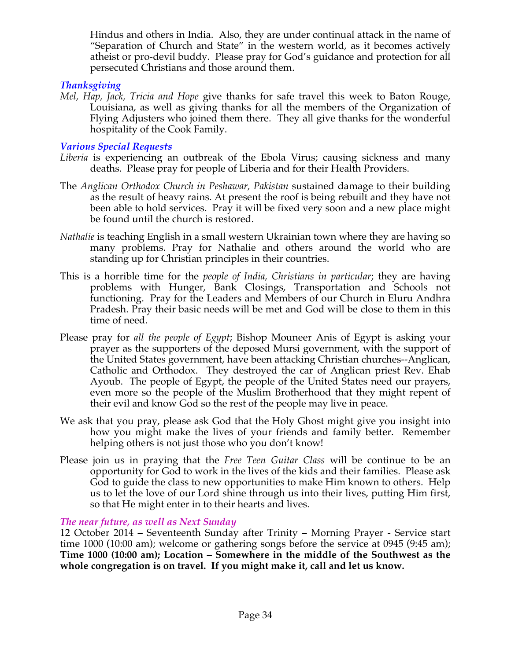Hindus and others in India. Also, they are under continual attack in the name of "Separation of Church and State" in the western world, as it becomes actively atheist or pro-devil buddy. Please pray for God's guidance and protection for all persecuted Christians and those around them.

## *Thanksgiving*

*Mel, Hap, Jack, Tricia and Hope* give thanks for safe travel this week to Baton Rouge, Louisiana, as well as giving thanks for all the members of the Organization of Flying Adjusters who joined them there. They all give thanks for the wonderful hospitality of the Cook Family.

## *Various Special Requests*

- *Liberia* is experiencing an outbreak of the Ebola Virus; causing sickness and many deaths. Please pray for people of Liberia and for their Health Providers.
- The *Anglican Orthodox Church in Peshawar, Pakistan* sustained damage to their building as the result of heavy rains. At present the roof is being rebuilt and they have not been able to hold services. Pray it will be fixed very soon and a new place might be found until the church is restored.
- *Nathalie* is teaching English in a small western Ukrainian town where they are having so many problems. Pray for Nathalie and others around the world who are standing up for Christian principles in their countries.
- This is a horrible time for the *people of India, Christians in particular*; they are having problems with Hunger, Bank Closings, Transportation and Schools not functioning. Pray for the Leaders and Members of our Church in Eluru Andhra Pradesh. Pray their basic needs will be met and God will be close to them in this time of need.
- Please pray for *all the people of Egypt*; Bishop Mouneer Anis of Egypt is asking your prayer as the supporters of the deposed Mursi government, with the support of the United States government, have been attacking Christian churches--Anglican, Catholic and Orthodox. They destroyed the car of Anglican priest Rev. Ehab Ayoub. The people of Egypt, the people of the United States need our prayers, even more so the people of the Muslim Brotherhood that they might repent of their evil and know God so the rest of the people may live in peace.
- We ask that you pray, please ask God that the Holy Ghost might give you insight into how you might make the lives of your friends and family better. Remember helping others is not just those who you don't know!
- Please join us in praying that the *Free Teen Guitar Class* will be continue to be an opportunity for God to work in the lives of the kids and their families. Please ask God to guide the class to new opportunities to make Him known to others. Help us to let the love of our Lord shine through us into their lives, putting Him first, so that He might enter in to their hearts and lives.

### *The near future, as well as Next Sunday*

12 October 2014 – Seventeenth Sunday after Trinity – Morning Prayer - Service start time 1000 (10:00 am); welcome or gathering songs before the service at 0945 (9:45 am); **Time 1000 (10:00 am); Location – Somewhere in the middle of the Southwest as the whole congregation is on travel. If you might make it, call and let us know.**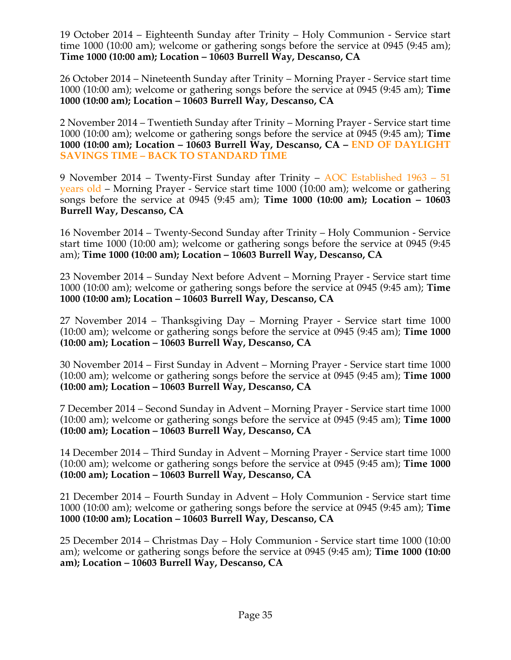19 October 2014 – Eighteenth Sunday after Trinity – Holy Communion - Service start time 1000 (10:00 am); welcome or gathering songs before the service at 0945 (9:45 am); **Time 1000 (10:00 am); Location – 10603 Burrell Way, Descanso, CA**

26 October 2014 – Nineteenth Sunday after Trinity – Morning Prayer - Service start time 1000 (10:00 am); welcome or gathering songs before the service at 0945 (9:45 am); **Time 1000 (10:00 am); Location – 10603 Burrell Way, Descanso, CA**

2 November 2014 – Twentieth Sunday after Trinity – Morning Prayer - Service start time 1000 (10:00 am); welcome or gathering songs before the service at 0945 (9:45 am); **Time 1000 (10:00 am); Location – 10603 Burrell Way, Descanso, CA – END OF DAYLIGHT SAVINGS TIME – BACK TO STANDARD TIME**

9 November 2014 – Twenty-First Sunday after Trinity – AOC Established 1963 – 51 years old – Morning Prayer - Service start time 1000 (10:00 am); welcome or gathering songs before the service at 0945 (9:45 am); **Time 1000 (10:00 am); Location – 10603 Burrell Way, Descanso, CA**

16 November 2014 – Twenty-Second Sunday after Trinity – Holy Communion - Service start time 1000 (10:00 am); welcome or gathering songs before the service at 0945 (9:45 am); **Time 1000 (10:00 am); Location – 10603 Burrell Way, Descanso, CA**

23 November 2014 – Sunday Next before Advent – Morning Prayer - Service start time 1000 (10:00 am); welcome or gathering songs before the service at 0945 (9:45 am); **Time 1000 (10:00 am); Location – 10603 Burrell Way, Descanso, CA**

27 November 2014 – Thanksgiving Day – Morning Prayer - Service start time 1000 (10:00 am); welcome or gathering songs before the service at 0945 (9:45 am); **Time 1000 (10:00 am); Location – 10603 Burrell Way, Descanso, CA**

30 November 2014 – First Sunday in Advent – Morning Prayer - Service start time 1000 (10:00 am); welcome or gathering songs before the service at 0945 (9:45 am); **Time 1000 (10:00 am); Location – 10603 Burrell Way, Descanso, CA**

7 December 2014 – Second Sunday in Advent – Morning Prayer - Service start time 1000 (10:00 am); welcome or gathering songs before the service at 0945 (9:45 am); **Time 1000 (10:00 am); Location – 10603 Burrell Way, Descanso, CA**

14 December 2014 – Third Sunday in Advent – Morning Prayer - Service start time 1000 (10:00 am); welcome or gathering songs before the service at 0945 (9:45 am); **Time 1000 (10:00 am); Location – 10603 Burrell Way, Descanso, CA**

21 December 2014 – Fourth Sunday in Advent – Holy Communion - Service start time 1000 (10:00 am); welcome or gathering songs before the service at 0945 (9:45 am); **Time 1000 (10:00 am); Location – 10603 Burrell Way, Descanso, CA**

25 December 2014 – Christmas Day – Holy Communion - Service start time 1000 (10:00 am); welcome or gathering songs before the service at 0945 (9:45 am); **Time 1000 (10:00 am); Location – 10603 Burrell Way, Descanso, CA**